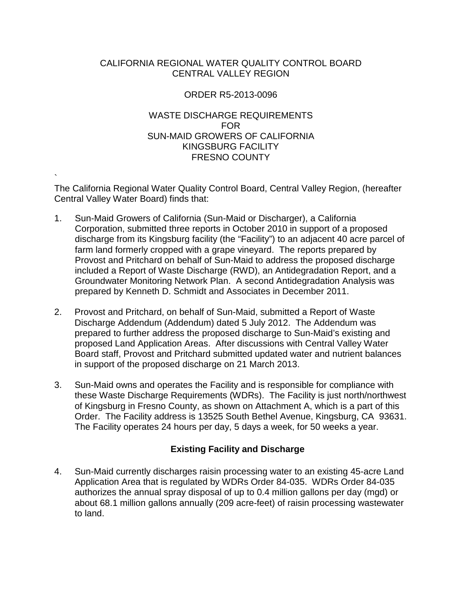# CALIFORNIA REGIONAL WATER QUALITY CONTROL BOARD CENTRAL VALLEY REGION

# ORDER R5-2013-0096

# WASTE DISCHARGE REQUIREMENTS FOR SUN-MAID GROWERS OF CALIFORNIA KINGSBURG FACILITY FRESNO COUNTY

` The California Regional Water Quality Control Board, Central Valley Region, (hereafter Central Valley Water Board) finds that:

- 1. Sun-Maid Growers of California (Sun-Maid or Discharger), a California Corporation, submitted three reports in October 2010 in support of a proposed discharge from its Kingsburg facility (the "Facility") to an adjacent 40 acre parcel of farm land formerly cropped with a grape vineyard. The reports prepared by Provost and Pritchard on behalf of Sun-Maid to address the proposed discharge included a Report of Waste Discharge (RWD), an Antidegradation Report, and a Groundwater Monitoring Network Plan. A second Antidegradation Analysis was prepared by Kenneth D. Schmidt and Associates in December 2011.
- 2. Provost and Pritchard, on behalf of Sun-Maid, submitted a Report of Waste Discharge Addendum (Addendum) dated 5 July 2012. The Addendum was prepared to further address the proposed discharge to Sun-Maid's existing and proposed Land Application Areas. After discussions with Central Valley Water Board staff, Provost and Pritchard submitted updated water and nutrient balances in support of the proposed discharge on 21 March 2013.
- 3. Sun-Maid owns and operates the Facility and is responsible for compliance with these Waste Discharge Requirements (WDRs). The Facility is just north/northwest of Kingsburg in Fresno County, as shown on Attachment A, which is a part of this Order. The Facility address is 13525 South Bethel Avenue, Kingsburg, CA 93631. The Facility operates 24 hours per day, 5 days a week, for 50 weeks a year.

# **Existing Facility and Discharge**

4. Sun-Maid currently discharges raisin processing water to an existing 45-acre Land Application Area that is regulated by WDRs Order 84-035. WDRs Order 84-035 authorizes the annual spray disposal of up to 0.4 million gallons per day (mgd) or about 68.1 million gallons annually (209 acre-feet) of raisin processing wastewater to land.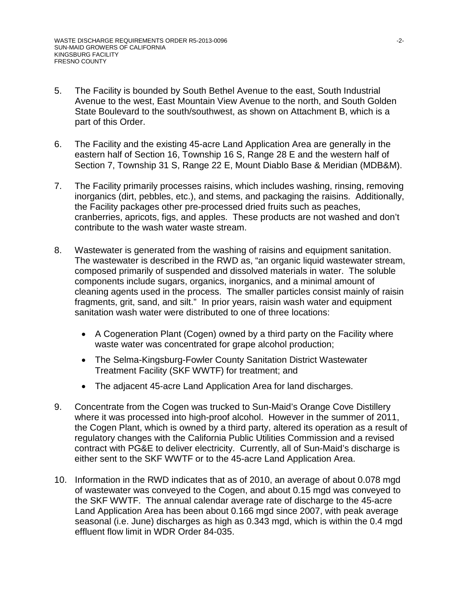- 5. The Facility is bounded by South Bethel Avenue to the east, South Industrial Avenue to the west, East Mountain View Avenue to the north, and South Golden State Boulevard to the south/southwest, as shown on Attachment B, which is a part of this Order.
- 6. The Facility and the existing 45-acre Land Application Area are generally in the eastern half of Section 16, Township 16 S, Range 28 E and the western half of Section 7, Township 31 S, Range 22 E, Mount Diablo Base & Meridian (MDB&M).
- 7. The Facility primarily processes raisins, which includes washing, rinsing, removing inorganics (dirt, pebbles, etc.), and stems, and packaging the raisins. Additionally, the Facility packages other pre-processed dried fruits such as peaches, cranberries, apricots, figs, and apples. These products are not washed and don't contribute to the wash water waste stream.
- 8. Wastewater is generated from the washing of raisins and equipment sanitation. The wastewater is described in the RWD as, "an organic liquid wastewater stream, composed primarily of suspended and dissolved materials in water. The soluble components include sugars, organics, inorganics, and a minimal amount of cleaning agents used in the process. The smaller particles consist mainly of raisin fragments, grit, sand, and silt." In prior years, raisin wash water and equipment sanitation wash water were distributed to one of three locations:
	- A Cogeneration Plant (Cogen) owned by a third party on the Facility where waste water was concentrated for grape alcohol production;
	- The Selma-Kingsburg-Fowler County Sanitation District Wastewater Treatment Facility (SKF WWTF) for treatment; and
	- The adjacent 45-acre Land Application Area for land discharges.
- 9. Concentrate from the Cogen was trucked to Sun-Maid's Orange Cove Distillery where it was processed into high-proof alcohol. However in the summer of 2011, the Cogen Plant, which is owned by a third party, altered its operation as a result of regulatory changes with the California Public Utilities Commission and a revised contract with PG&E to deliver electricity. Currently, all of Sun-Maid's discharge is either sent to the SKF WWTF or to the 45-acre Land Application Area.
- 10. Information in the RWD indicates that as of 2010, an average of about 0.078 mgd of wastewater was conveyed to the Cogen, and about 0.15 mgd was conveyed to the SKF WWTF. The annual calendar average rate of discharge to the 45-acre Land Application Area has been about 0.166 mgd since 2007, with peak average seasonal (i.e. June) discharges as high as 0.343 mgd, which is within the 0.4 mgd effluent flow limit in WDR Order 84-035.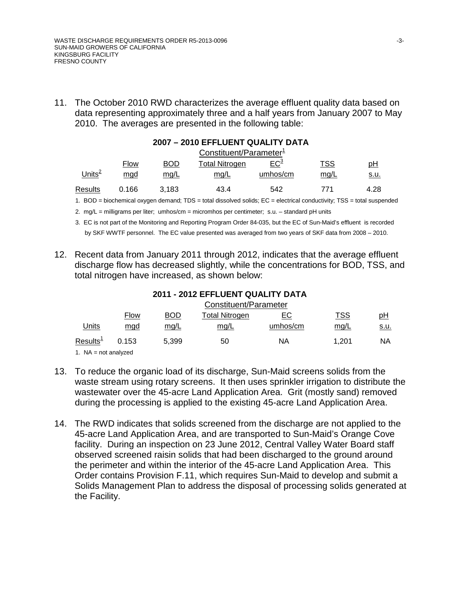11. The October 2010 RWD characterizes the average effluent quality data based on data representing approximately three and a half years from January 2007 to May 2010. The averages are presented in the following table:

#### **2007 – 2010 EFFLUENT QUALITY DATA**

|                | Constituent/Parameter <sup>1</sup> |                                                                                                                                                                                                                               |                                                                          |          |            |      |
|----------------|------------------------------------|-------------------------------------------------------------------------------------------------------------------------------------------------------------------------------------------------------------------------------|--------------------------------------------------------------------------|----------|------------|------|
|                | Flow                               | BOD                                                                                                                                                                                                                           | Total Nitrogen                                                           | $EC^3$   | <b>TSS</b> | рH   |
| Units $^2$     | mgd                                | mq/L                                                                                                                                                                                                                          | <u>mg/L</u>                                                              | umhos/cm | mg/L       | s.u. |
| Results        | 0.166                              | 3.183                                                                                                                                                                                                                         | 43.4                                                                     | 542      | 771        | 4.28 |
| $\overline{1}$ |                                    | the character of concernsion and according to the contract of the contract of the contract of the contract of the contract of the contract of the contract of the contract of the contract of the contract of the contract of | the control of the control of the control of the control of the top TOO. |          |            | .    |

1. BOD = biochemical oxygen demand; TDS = total dissolved solids; EC = electrical conductivity; TSS = total suspended

2. mg/L = milligrams per liter; umhos/cm = micromhos per centimeter; s.u. - standard pH units

- 3. EC is not part of the Monitoring and Reporting Program Order 84-035, but the EC of Sun-Maid's effluent is recorded by SKF WWTF personnel. The EC value presented was averaged from two years of SKF data from 2008 – 2010.
- 12. Recent data from January 2011 through 2012, indicates that the average effluent discharge flow has decreased slightly, while the concentrations for BOD, TSS, and total nitrogen have increased, as shown below:

| 2011 - 2012 EFFLUENT QUALITY DATA |
|-----------------------------------|
| Constitutor (Dovomator            |

|                        | Constituent/Parameter |            |                |           |            |           |
|------------------------|-----------------------|------------|----------------|-----------|------------|-----------|
|                        | <u>Flow</u>           | <b>BOD</b> | Total Nitrogen | <u>EC</u> | <u>TSS</u> | <u>pH</u> |
| Units                  | mgd                   | mq/L       | mg/L           | umhos/cm  | mg/L       | s.u.      |
| Results $^1\,$         | 0.153                 | 5.399      | 50             | ΝA        | 1.201      | NA        |
| 1. $NA = not analyzed$ |                       |            |                |           |            |           |

- 13. To reduce the organic load of its discharge, Sun-Maid screens solids from the waste stream using rotary screens. It then uses sprinkler irrigation to distribute the wastewater over the 45-acre Land Application Area. Grit (mostly sand) removed during the processing is applied to the existing 45-acre Land Application Area.
- 14. The RWD indicates that solids screened from the discharge are not applied to the 45-acre Land Application Area, and are transported to Sun-Maid's Orange Cove facility. During an inspection on 23 June 2012, Central Valley Water Board staff observed screened raisin solids that had been discharged to the ground around the perimeter and within the interior of the 45-acre Land Application Area. This Order contains Provision F.11, which requires Sun-Maid to develop and submit a Solids Management Plan to address the disposal of processing solids generated at the Facility.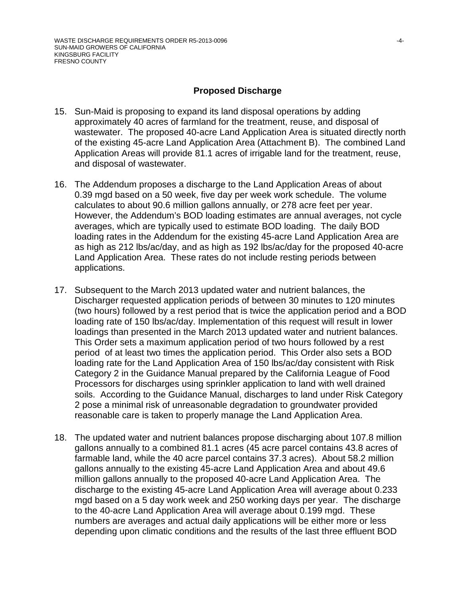#### **Proposed Discharge**

- 15. Sun-Maid is proposing to expand its land disposal operations by adding approximately 40 acres of farmland for the treatment, reuse, and disposal of wastewater. The proposed 40-acre Land Application Area is situated directly north of the existing 45-acre Land Application Area (Attachment B). The combined Land Application Areas will provide 81.1 acres of irrigable land for the treatment, reuse, and disposal of wastewater.
- 16. The Addendum proposes a discharge to the Land Application Areas of about 0.39 mgd based on a 50 week, five day per week work schedule. The volume calculates to about 90.6 million gallons annually, or 278 acre feet per year. However, the Addendum's BOD loading estimates are annual averages, not cycle averages, which are typically used to estimate BOD loading. The daily BOD loading rates in the Addendum for the existing 45-acre Land Application Area are as high as 212 lbs/ac/day, and as high as 192 lbs/ac/day for the proposed 40-acre Land Application Area. These rates do not include resting periods between applications.
- 17. Subsequent to the March 2013 updated water and nutrient balances, the Discharger requested application periods of between 30 minutes to 120 minutes (two hours) followed by a rest period that is twice the application period and a BOD loading rate of 150 lbs/ac/day. Implementation of this request will result in lower loadings than presented in the March 2013 updated water and nutrient balances. This Order sets a maximum application period of two hours followed by a rest period of at least two times the application period. This Order also sets a BOD loading rate for the Land Application Area of 150 lbs/ac/day consistent with Risk Category 2 in the Guidance Manual prepared by the California League of Food Processors for discharges using sprinkler application to land with well drained soils. According to the Guidance Manual, discharges to land under Risk Category 2 pose a minimal risk of unreasonable degradation to groundwater provided reasonable care is taken to properly manage the Land Application Area.
- 18. The updated water and nutrient balances propose discharging about 107.8 million gallons annually to a combined 81.1 acres (45 acre parcel contains 43.8 acres of farmable land, while the 40 acre parcel contains 37.3 acres). About 58.2 million gallons annually to the existing 45-acre Land Application Area and about 49.6 million gallons annually to the proposed 40-acre Land Application Area. The discharge to the existing 45-acre Land Application Area will average about 0.233 mgd based on a 5 day work week and 250 working days per year. The discharge to the 40-acre Land Application Area will average about 0.199 mgd. These numbers are averages and actual daily applications will be either more or less depending upon climatic conditions and the results of the last three effluent BOD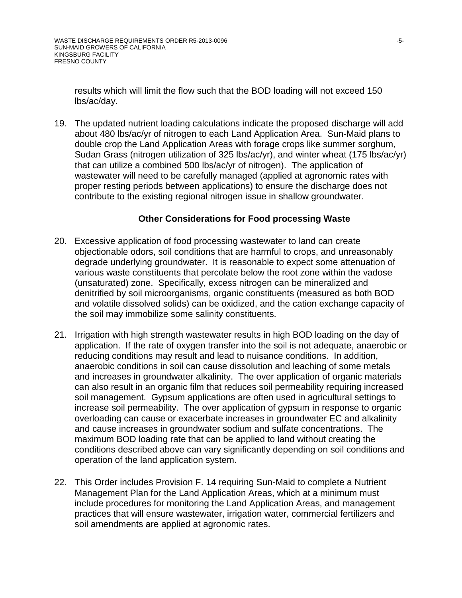results which will limit the flow such that the BOD loading will not exceed 150 lbs/ac/day.

19. The updated nutrient loading calculations indicate the proposed discharge will add about 480 lbs/ac/yr of nitrogen to each Land Application Area. Sun-Maid plans to double crop the Land Application Areas with forage crops like summer sorghum, Sudan Grass (nitrogen utilization of 325 lbs/ac/yr), and winter wheat (175 lbs/ac/yr) that can utilize a combined 500 lbs/ac/yr of nitrogen). The application of wastewater will need to be carefully managed (applied at agronomic rates with proper resting periods between applications) to ensure the discharge does not contribute to the existing regional nitrogen issue in shallow groundwater.

#### **Other Considerations for Food processing Waste**

- 20. Excessive application of food processing wastewater to land can create objectionable odors, soil conditions that are harmful to crops, and unreasonably degrade underlying groundwater. It is reasonable to expect some attenuation of various waste constituents that percolate below the root zone within the vadose (unsaturated) zone. Specifically, excess nitrogen can be mineralized and denitrified by soil microorganisms, organic constituents (measured as both BOD and volatile dissolved solids) can be oxidized, and the cation exchange capacity of the soil may immobilize some salinity constituents.
- 21. Irrigation with high strength wastewater results in high BOD loading on the day of application. If the rate of oxygen transfer into the soil is not adequate, anaerobic or reducing conditions may result and lead to nuisance conditions. In addition, anaerobic conditions in soil can cause dissolution and leaching of some metals and increases in groundwater alkalinity. The over application of organic materials can also result in an organic film that reduces soil permeability requiring increased soil management. Gypsum applications are often used in agricultural settings to increase soil permeability. The over application of gypsum in response to organic overloading can cause or exacerbate increases in groundwater EC and alkalinity and cause increases in groundwater sodium and sulfate concentrations. The maximum BOD loading rate that can be applied to land without creating the conditions described above can vary significantly depending on soil conditions and operation of the land application system.
- 22. This Order includes Provision F. 14 requiring Sun-Maid to complete a Nutrient Management Plan for the Land Application Areas, which at a minimum must include procedures for monitoring the Land Application Areas, and management practices that will ensure wastewater, irrigation water, commercial fertilizers and soil amendments are applied at agronomic rates.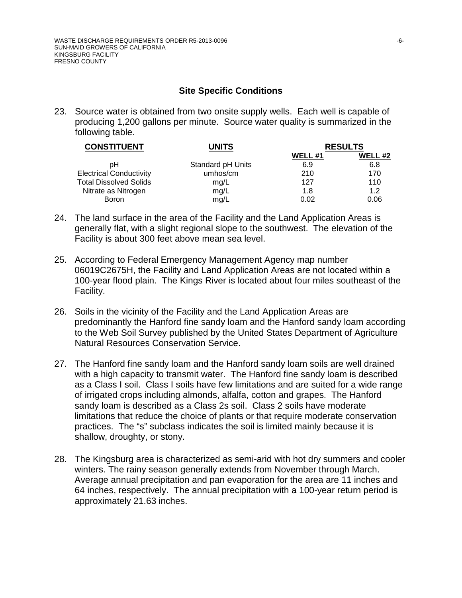#### **Site Specific Conditions**

23. Source water is obtained from two onsite supply wells. Each well is capable of producing 1,200 gallons per minute. Source water quality is summarized in the following table.

| <b>CONSTITUENT</b>             | UNITS             |                | <b>RESULTS</b> |  |  |
|--------------------------------|-------------------|----------------|----------------|--|--|
|                                |                   | <b>WELL #1</b> | <b>WELL #2</b> |  |  |
| pН                             | Standard pH Units | 6.9            | 6.8            |  |  |
| <b>Electrical Conductivity</b> | umhos/cm          | 210            | 170            |  |  |
| <b>Total Dissolved Solids</b>  | mg/L              | 127            | 110            |  |  |
| Nitrate as Nitrogen            | mg/L              | 1.8            | 1.2            |  |  |
| <b>Boron</b>                   | mg/L              | 0.02           | 0.06           |  |  |

- 24. The land surface in the area of the Facility and the Land Application Areas is generally flat, with a slight regional slope to the southwest. The elevation of the Facility is about 300 feet above mean sea level.
- 25. According to Federal Emergency Management Agency map number 06019C2675H, the Facility and Land Application Areas are not located within a 100-year flood plain. The Kings River is located about four miles southeast of the Facility.
- 26. Soils in the vicinity of the Facility and the Land Application Areas are predominantly the Hanford fine sandy loam and the Hanford sandy loam according to the Web Soil Survey published by the United States Department of Agriculture Natural Resources Conservation Service.
- 27. The Hanford fine sandy loam and the Hanford sandy loam soils are well drained with a high capacity to transmit water. The Hanford fine sandy loam is described as a Class I soil. Class I soils have few limitations and are suited for a wide range of irrigated crops including almonds, alfalfa, cotton and grapes. The Hanford sandy loam is described as a Class 2s soil. Class 2 soils have moderate limitations that reduce the choice of plants or that require moderate conservation practices. The "s" subclass indicates the soil is limited mainly because it is shallow, droughty, or stony.
- 28. The Kingsburg area is characterized as semi-arid with hot dry summers and cooler winters. The rainy season generally extends from November through March. Average annual precipitation and pan evaporation for the area are 11 inches and 64 inches, respectively. The annual precipitation with a 100-year return period is approximately 21.63 inches.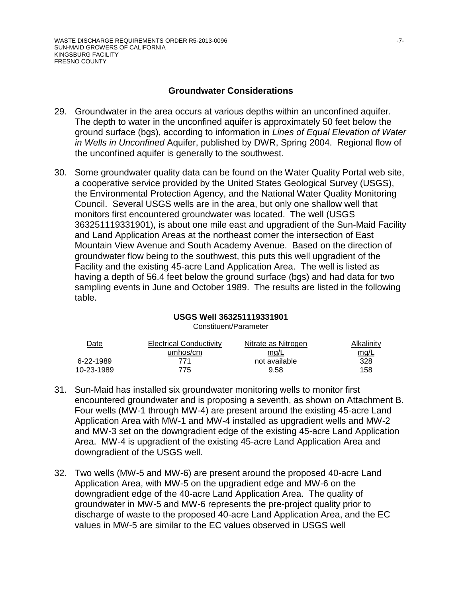#### **Groundwater Considerations**

- 29. Groundwater in the area occurs at various depths within an unconfined aquifer. The depth to water in the unconfined aquifer is approximately 50 feet below the ground surface (bgs), according to information in *Lines of Equal Elevation of Water in Wells in Unconfined* Aquifer, published by DWR, Spring 2004. Regional flow of the unconfined aquifer is generally to the southwest.
- 30. Some groundwater quality data can be found on the Water Quality Portal web site, a cooperative service provided by the United States Geological Survey (USGS), the Environmental Protection Agency, and the National Water Quality Monitoring Council. Several USGS wells are in the area, but only one shallow well that monitors first encountered groundwater was located. The well (USGS 363251119331901), is about one mile east and upgradient of the Sun-Maid Facility and Land Application Areas at the northeast corner the intersection of East Mountain View Avenue and South Academy Avenue. Based on the direction of groundwater flow being to the southwest, this puts this well upgradient of the Facility and the existing 45-acre Land Application Area. The well is listed as having a depth of 56.4 feet below the ground surface (bgs) and had data for two sampling events in June and October 1989. The results are listed in the following table.

#### **USGS Well 363251119331901**

Constituent/Parameter

| $\Delta$ ate | Electrical Conductivity | Nitrate as Nitrogen | Alkalinity  |
|--------------|-------------------------|---------------------|-------------|
|              | umhos/cm                | mg/L                | <u>mg/L</u> |
| 6-22-1989    | 771                     | not available       | 328         |
| 10-23-1989   | 775.                    | 9.58                | 158         |

- 31. Sun-Maid has installed six groundwater monitoring wells to monitor first encountered groundwater and is proposing a seventh, as shown on Attachment B. Four wells (MW-1 through MW-4) are present around the existing 45-acre Land Application Area with MW-1 and MW-4 installed as upgradient wells and MW-2 and MW-3 set on the downgradient edge of the existing 45-acre Land Application Area. MW-4 is upgradient of the existing 45-acre Land Application Area and downgradient of the USGS well.
- 32. Two wells (MW-5 and MW-6) are present around the proposed 40-acre Land Application Area, with MW-5 on the upgradient edge and MW-6 on the downgradient edge of the 40-acre Land Application Area. The quality of groundwater in MW-5 and MW-6 represents the pre-project quality prior to discharge of waste to the proposed 40-acre Land Application Area, and the EC values in MW-5 are similar to the EC values observed in USGS well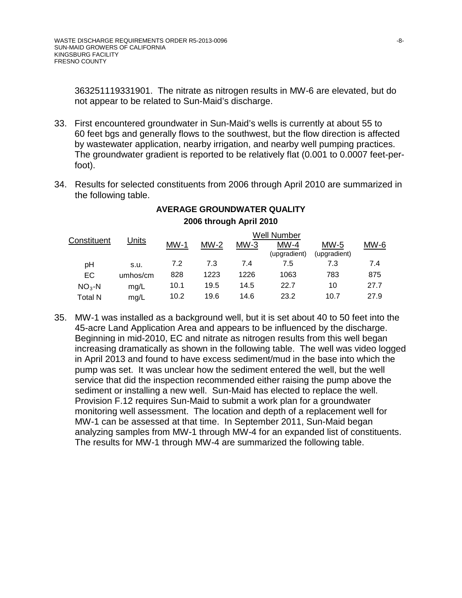363251119331901. The nitrate as nitrogen results in MW-6 are elevated, but do not appear to be related to Sun-Maid's discharge.

- 33. First encountered groundwater in Sun-Maid's wells is currently at about 55 to 60 feet bgs and generally flows to the southwest, but the flow direction is affected by wastewater application, nearby irrigation, and nearby well pumping practices. The groundwater gradient is reported to be relatively flat (0.001 to 0.0007 feet-perfoot).
- 34. Results for selected constituents from 2006 through April 2010 are summarized in the following table.

|             |          |        |        |        | <b>Well Number</b> |              |        |
|-------------|----------|--------|--------|--------|--------------------|--------------|--------|
| Constituent | Units    | $MW-1$ | $MW-2$ | $MW-3$ | $MW-4$             | $MW-5$       | $MW-6$ |
|             |          |        |        |        | (upgradient)       | (upgradient) |        |
| рH          | S.U.     | 7.2    | 7.3    | 7.4    | 7.5                | 7.3          | 7.4    |
| EC.         | umhos/cm | 828    | 1223   | 1226   | 1063               | 783          | 875    |
| $NO3-N$     | mg/L     | 10.1   | 19.5   | 14.5   | 22.7               | 10           | 27.7   |
| Total N     | mg/L     | 10.2   | 19.6   | 14.6   | 23.2               | 10.7         | 27.9   |

# **AVERAGE GROUNDWATER QUALITY 2006 through April 2010**

35. MW-1 was installed as a background well, but it is set about 40 to 50 feet into the 45-acre Land Application Area and appears to be influenced by the discharge. Beginning in mid-2010, EC and nitrate as nitrogen results from this well began increasing dramatically as shown in the following table. The well was video logged in April 2013 and found to have excess sediment/mud in the base into which the pump was set. It was unclear how the sediment entered the well, but the well service that did the inspection recommended either raising the pump above the sediment or installing a new well. Sun-Maid has elected to replace the well. Provision F.12 requires Sun-Maid to submit a work plan for a groundwater monitoring well assessment. The location and depth of a replacement well for MW-1 can be assessed at that time. In September 2011, Sun-Maid began analyzing samples from MW-1 through MW-4 for an expanded list of constituents. The results for MW-1 through MW-4 are summarized the following table.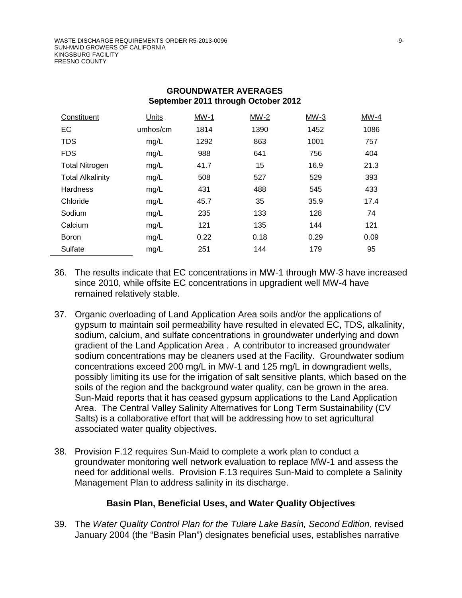| Constituent             | <b>Units</b> | $MW-1$ | $MW-2$ | $MW-3$ | $MW-4$ |
|-------------------------|--------------|--------|--------|--------|--------|
| EC                      | umhos/cm     | 1814   | 1390   | 1452   | 1086   |
| <b>TDS</b>              | mg/L         | 1292   | 863    | 1001   | 757    |
| <b>FDS</b>              | mg/L         | 988    | 641    | 756    | 404    |
| <b>Total Nitrogen</b>   | mg/L         | 41.7   | 15     | 16.9   | 21.3   |
| <b>Total Alkalinity</b> | mg/L         | 508    | 527    | 529    | 393    |
| <b>Hardness</b>         | mg/L         | 431    | 488    | 545    | 433    |
| Chloride                | mg/L         | 45.7   | 35     | 35.9   | 17.4   |
| Sodium                  | mg/L         | 235    | 133    | 128    | 74     |
| Calcium                 | mg/L         | 121    | 135    | 144    | 121    |
| <b>Boron</b>            | mg/L         | 0.22   | 0.18   | 0.29   | 0.09   |
| Sulfate                 | mg/L         | 251    | 144    | 179    | 95     |

#### **GROUNDWATER AVERAGES September 2011 through October 2012**

- 36. The results indicate that EC concentrations in MW-1 through MW-3 have increased since 2010, while offsite EC concentrations in upgradient well MW-4 have remained relatively stable.
- 37. Organic overloading of Land Application Area soils and/or the applications of gypsum to maintain soil permeability have resulted in elevated EC, TDS, alkalinity, sodium, calcium, and sulfate concentrations in groundwater underlying and down gradient of the Land Application Area . A contributor to increased groundwater sodium concentrations may be cleaners used at the Facility. Groundwater sodium concentrations exceed 200 mg/L in MW-1 and 125 mg/L in downgradient wells, possibly limiting its use for the irrigation of salt sensitive plants, which based on the soils of the region and the background water quality, can be grown in the area. Sun-Maid reports that it has ceased gypsum applications to the Land Application Area. The Central Valley Salinity Alternatives for Long Term Sustainability (CV Salts) is a collaborative effort that will be addressing how to set agricultural associated water quality objectives.
- 38. Provision F.12 requires Sun-Maid to complete a work plan to conduct a groundwater monitoring well network evaluation to replace MW-1 and assess the need for additional wells. Provision F.13 requires Sun-Maid to complete a Salinity Management Plan to address salinity in its discharge.

## **Basin Plan, Beneficial Uses, and Water Quality Objectives**

39. The *Water Quality Control Plan for the Tulare Lake Basin, Second Edition*, revised January 2004 (the "Basin Plan") designates beneficial uses, establishes narrative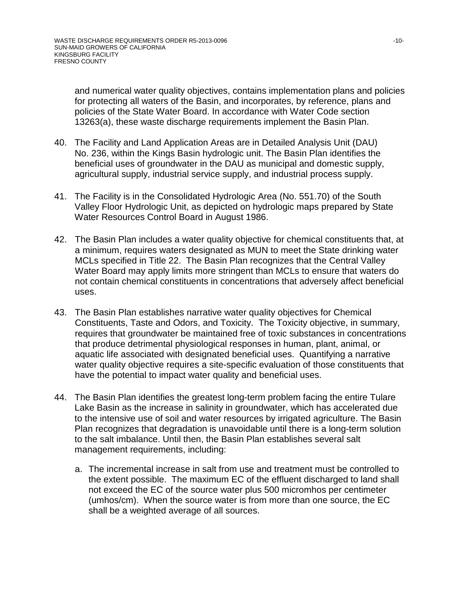and numerical water quality objectives, contains implementation plans and policies for protecting all waters of the Basin, and incorporates, by reference, plans and policies of the State Water Board. In accordance with Water Code section 13263(a), these waste discharge requirements implement the Basin Plan.

- 40. The Facility and Land Application Areas are in Detailed Analysis Unit (DAU) No. 236, within the Kings Basin hydrologic unit. The Basin Plan identifies the beneficial uses of groundwater in the DAU as municipal and domestic supply, agricultural supply, industrial service supply, and industrial process supply.
- 41. The Facility is in the Consolidated Hydrologic Area (No. 551.70) of the South Valley Floor Hydrologic Unit, as depicted on hydrologic maps prepared by State Water Resources Control Board in August 1986.
- 42. The Basin Plan includes a water quality objective for chemical constituents that, at a minimum, requires waters designated as MUN to meet the State drinking water MCLs specified in Title 22. The Basin Plan recognizes that the Central Valley Water Board may apply limits more stringent than MCLs to ensure that waters do not contain chemical constituents in concentrations that adversely affect beneficial uses.
- 43. The Basin Plan establishes narrative water quality objectives for Chemical Constituents, Taste and Odors, and Toxicity. The Toxicity objective, in summary, requires that groundwater be maintained free of toxic substances in concentrations that produce detrimental physiological responses in human, plant, animal, or aquatic life associated with designated beneficial uses. Quantifying a narrative water quality objective requires a site-specific evaluation of those constituents that have the potential to impact water quality and beneficial uses.
- 44. The Basin Plan identifies the greatest long-term problem facing the entire Tulare Lake Basin as the increase in salinity in groundwater, which has accelerated due to the intensive use of soil and water resources by irrigated agriculture. The Basin Plan recognizes that degradation is unavoidable until there is a long-term solution to the salt imbalance. Until then, the Basin Plan establishes several salt management requirements, including:
	- a. The incremental increase in salt from use and treatment must be controlled to the extent possible. The maximum EC of the effluent discharged to land shall not exceed the EC of the source water plus 500 micromhos per centimeter (umhos/cm). When the source water is from more than one source, the EC shall be a weighted average of all sources.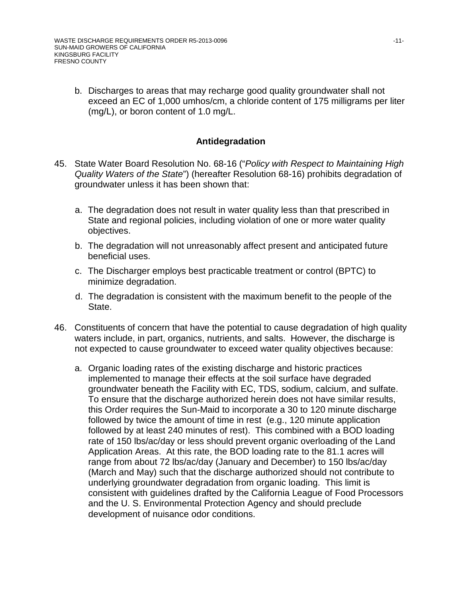b. Discharges to areas that may recharge good quality groundwater shall not exceed an EC of 1,000 umhos/cm, a chloride content of 175 milligrams per liter (mg/L), or boron content of 1.0 mg/L.

## **Antidegradation**

- 45. State Water Board Resolution No. 68-16 ("*Policy with Respect to Maintaining High Quality Waters of the State*") (hereafter Resolution 68-16) prohibits degradation of groundwater unless it has been shown that:
	- a. The degradation does not result in water quality less than that prescribed in State and regional policies, including violation of one or more water quality objectives.
	- b. The degradation will not unreasonably affect present and anticipated future beneficial uses.
	- c. The Discharger employs best practicable treatment or control (BPTC) to minimize degradation.
	- d. The degradation is consistent with the maximum benefit to the people of the State.
- 46. Constituents of concern that have the potential to cause degradation of high quality waters include, in part, organics, nutrients, and salts. However, the discharge is not expected to cause groundwater to exceed water quality objectives because:
	- a. Organic loading rates of the existing discharge and historic practices implemented to manage their effects at the soil surface have degraded groundwater beneath the Facility with EC, TDS, sodium, calcium, and sulfate. To ensure that the discharge authorized herein does not have similar results, this Order requires the Sun-Maid to incorporate a 30 to 120 minute discharge followed by twice the amount of time in rest (e.g., 120 minute application followed by at least 240 minutes of rest). This combined with a BOD loading rate of 150 lbs/ac/day or less should prevent organic overloading of the Land Application Areas. At this rate, the BOD loading rate to the 81.1 acres will range from about 72 lbs/ac/day (January and December) to 150 lbs/ac/day (March and May) such that the discharge authorized should not contribute to underlying groundwater degradation from organic loading. This limit is consistent with guidelines drafted by the California League of Food Processors and the U. S. Environmental Protection Agency and should preclude development of nuisance odor conditions.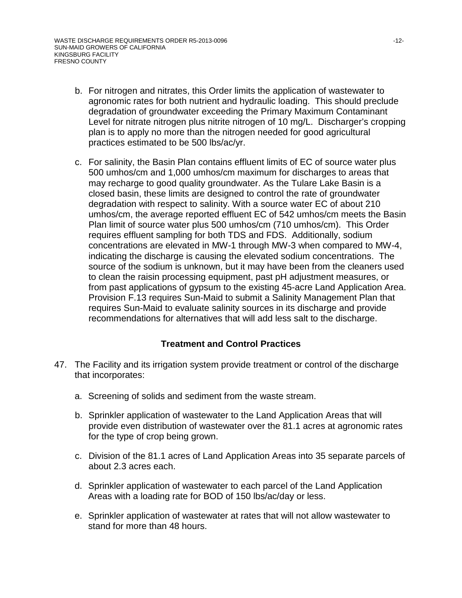- b. For nitrogen and nitrates, this Order limits the application of wastewater to agronomic rates for both nutrient and hydraulic loading. This should preclude degradation of groundwater exceeding the Primary Maximum Contaminant Level for nitrate nitrogen plus nitrite nitrogen of 10 mg/L. Discharger's cropping plan is to apply no more than the nitrogen needed for good agricultural practices estimated to be 500 lbs/ac/yr.
- c. For salinity, the Basin Plan contains effluent limits of EC of source water plus 500 umhos/cm and 1,000 umhos/cm maximum for discharges to areas that may recharge to good quality groundwater. As the Tulare Lake Basin is a closed basin, these limits are designed to control the rate of groundwater degradation with respect to salinity. With a source water EC of about 210 umhos/cm, the average reported effluent EC of 542 umhos/cm meets the Basin Plan limit of source water plus 500 umhos/cm (710 umhos/cm). This Order requires effluent sampling for both TDS and FDS. Additionally, sodium concentrations are elevated in MW-1 through MW-3 when compared to MW-4, indicating the discharge is causing the elevated sodium concentrations. The source of the sodium is unknown, but it may have been from the cleaners used to clean the raisin processing equipment, past pH adjustment measures, or from past applications of gypsum to the existing 45-acre Land Application Area. Provision F.13 requires Sun-Maid to submit a Salinity Management Plan that requires Sun-Maid to evaluate salinity sources in its discharge and provide recommendations for alternatives that will add less salt to the discharge.

# **Treatment and Control Practices**

- 47. The Facility and its irrigation system provide treatment or control of the discharge that incorporates:
	- a. Screening of solids and sediment from the waste stream.
	- b. Sprinkler application of wastewater to the Land Application Areas that will provide even distribution of wastewater over the 81.1 acres at agronomic rates for the type of crop being grown.
	- c. Division of the 81.1 acres of Land Application Areas into 35 separate parcels of about 2.3 acres each.
	- d. Sprinkler application of wastewater to each parcel of the Land Application Areas with a loading rate for BOD of 150 lbs/ac/day or less.
	- e. Sprinkler application of wastewater at rates that will not allow wastewater to stand for more than 48 hours.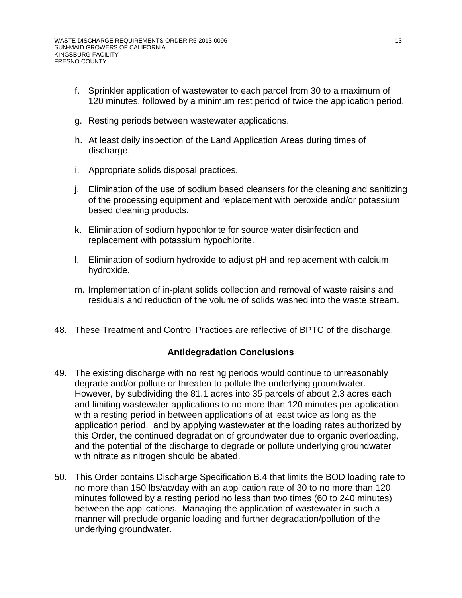- f. Sprinkler application of wastewater to each parcel from 30 to a maximum of 120 minutes, followed by a minimum rest period of twice the application period.
- g. Resting periods between wastewater applications.
- h. At least daily inspection of the Land Application Areas during times of discharge.
- i. Appropriate solids disposal practices.
- j. Elimination of the use of sodium based cleansers for the cleaning and sanitizing of the processing equipment and replacement with peroxide and/or potassium based cleaning products.
- k. Elimination of sodium hypochlorite for source water disinfection and replacement with potassium hypochlorite.
- l. Elimination of sodium hydroxide to adjust pH and replacement with calcium hydroxide.
- m. Implementation of in-plant solids collection and removal of waste raisins and residuals and reduction of the volume of solids washed into the waste stream.
- 48. These Treatment and Control Practices are reflective of BPTC of the discharge.

## **Antidegradation Conclusions**

- 49. The existing discharge with no resting periods would continue to unreasonably degrade and/or pollute or threaten to pollute the underlying groundwater. However, by subdividing the 81.1 acres into 35 parcels of about 2.3 acres each and limiting wastewater applications to no more than 120 minutes per application with a resting period in between applications of at least twice as long as the application period, and by applying wastewater at the loading rates authorized by this Order, the continued degradation of groundwater due to organic overloading, and the potential of the discharge to degrade or pollute underlying groundwater with nitrate as nitrogen should be abated.
- 50. This Order contains Discharge Specification B.4 that limits the BOD loading rate to no more than 150 lbs/ac/day with an application rate of 30 to no more than 120 minutes followed by a resting period no less than two times (60 to 240 minutes) between the applications. Managing the application of wastewater in such a manner will preclude organic loading and further degradation/pollution of the underlying groundwater.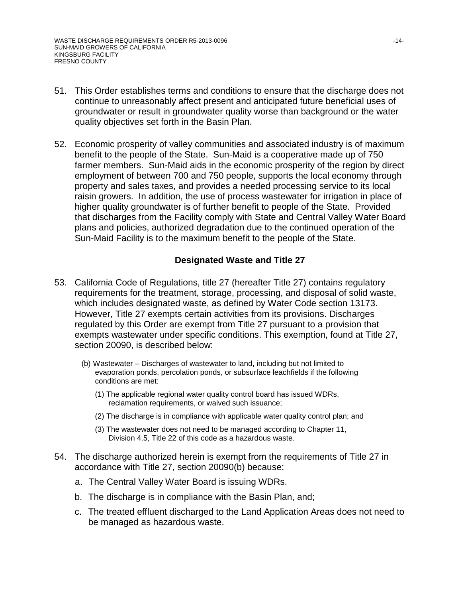- 51. This Order establishes terms and conditions to ensure that the discharge does not continue to unreasonably affect present and anticipated future beneficial uses of groundwater or result in groundwater quality worse than background or the water quality objectives set forth in the Basin Plan.
- 52. Economic prosperity of valley communities and associated industry is of maximum benefit to the people of the State. Sun-Maid is a cooperative made up of 750 farmer members. Sun-Maid aids in the economic prosperity of the region by direct employment of between 700 and 750 people, supports the local economy through property and sales taxes, and provides a needed processing service to its local raisin growers. In addition, the use of process wastewater for irrigation in place of higher quality groundwater is of further benefit to people of the State. Provided that discharges from the Facility comply with State and Central Valley Water Board plans and policies, authorized degradation due to the continued operation of the Sun-Maid Facility is to the maximum benefit to the people of the State.

#### **Designated Waste and Title 27**

- 53. California Code of Regulations, title 27 (hereafter Title 27) contains regulatory requirements for the treatment, storage, processing, and disposal of solid waste, which includes designated waste, as defined by Water Code section 13173. However, Title 27 exempts certain activities from its provisions. Discharges regulated by this Order are exempt from Title 27 pursuant to a provision that exempts wastewater under specific conditions. This exemption, found at Title 27, section 20090, is described below:
	- (b) Wastewater Discharges of wastewater to land, including but not limited to evaporation ponds, percolation ponds, or subsurface leachfields if the following conditions are met:
		- (1) The applicable regional water quality control board has issued WDRs, reclamation requirements, or waived such issuance;
		- (2) The discharge is in compliance with applicable water quality control plan; and
		- (3) The wastewater does not need to be managed according to Chapter 11, Division 4.5, Title 22 of this code as a hazardous waste.
- 54. The discharge authorized herein is exempt from the requirements of Title 27 in accordance with Title 27, section 20090(b) because:
	- a. The Central Valley Water Board is issuing WDRs.
	- b. The discharge is in compliance with the Basin Plan, and;
	- c. The treated effluent discharged to the Land Application Areas does not need to be managed as hazardous waste.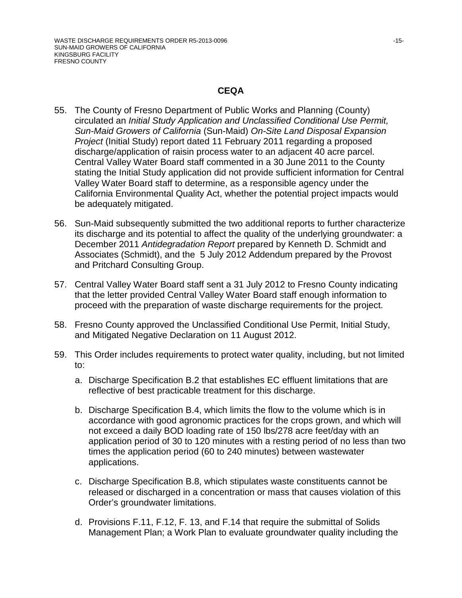#### **CEQA**

- 55. The County of Fresno Department of Public Works and Planning (County) circulated an *Initial Study Application and Unclassified Conditional Use Permit, Sun-Maid Growers of California* (Sun-Maid) *On-Site Land Disposal Expansion Project* (Initial Study) report dated 11 February 2011 regarding a proposed discharge/application of raisin process water to an adjacent 40 acre parcel. Central Valley Water Board staff commented in a 30 June 2011 to the County stating the Initial Study application did not provide sufficient information for Central Valley Water Board staff to determine, as a responsible agency under the California Environmental Quality Act, whether the potential project impacts would be adequately mitigated.
- 56. Sun-Maid subsequently submitted the two additional reports to further characterize its discharge and its potential to affect the quality of the underlying groundwater: a December 2011 *Antidegradation Report* prepared by Kenneth D. Schmidt and Associates (Schmidt), and the 5 July 2012 Addendum prepared by the Provost and Pritchard Consulting Group.
- 57. Central Valley Water Board staff sent a 31 July 2012 to Fresno County indicating that the letter provided Central Valley Water Board staff enough information to proceed with the preparation of waste discharge requirements for the project.
- 58. Fresno County approved the Unclassified Conditional Use Permit, Initial Study, and Mitigated Negative Declaration on 11 August 2012.
- 59. This Order includes requirements to protect water quality, including, but not limited to:
	- a. Discharge Specification B.2 that establishes EC effluent limitations that are reflective of best practicable treatment for this discharge.
	- b. Discharge Specification B.4, which limits the flow to the volume which is in accordance with good agronomic practices for the crops grown, and which will not exceed a daily BOD loading rate of 150 lbs/278 acre feet/day with an application period of 30 to 120 minutes with a resting period of no less than two times the application period (60 to 240 minutes) between wastewater applications.
	- c. Discharge Specification B.8, which stipulates waste constituents cannot be released or discharged in a concentration or mass that causes violation of this Order's groundwater limitations.
	- d. Provisions F.11, F.12, F. 13, and F.14 that require the submittal of Solids Management Plan; a Work Plan to evaluate groundwater quality including the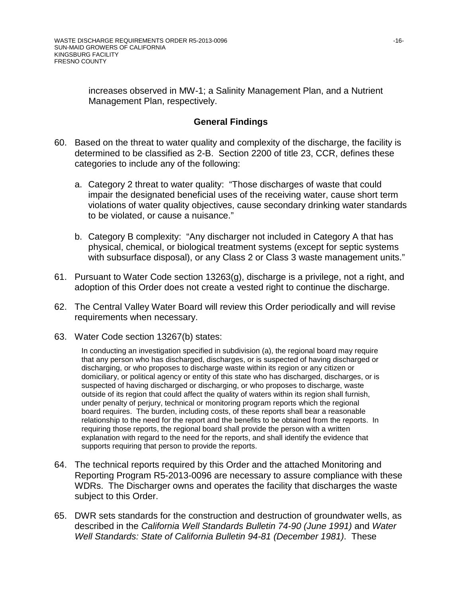increases observed in MW-1; a Salinity Management Plan, and a Nutrient Management Plan, respectively.

# **General Findings**

- 60. Based on the threat to water quality and complexity of the discharge, the facility is determined to be classified as 2-B. Section 2200 of title 23, CCR, defines these categories to include any of the following:
	- a. Category 2 threat to water quality: "Those discharges of waste that could impair the designated beneficial uses of the receiving water, cause short term violations of water quality objectives, cause secondary drinking water standards to be violated, or cause a nuisance."
	- b. Category B complexity: "Any discharger not included in Category A that has physical, chemical, or biological treatment systems (except for septic systems with subsurface disposal), or any Class 2 or Class 3 waste management units."
- 61. Pursuant to Water Code section 13263(g), discharge is a privilege, not a right, and adoption of this Order does not create a vested right to continue the discharge.
- 62. The Central Valley Water Board will review this Order periodically and will revise requirements when necessary.
- 63. Water Code section 13267(b) states:

In conducting an investigation specified in subdivision (a), the regional board may require that any person who has discharged, discharges, or is suspected of having discharged or discharging, or who proposes to discharge waste within its region or any citizen or domiciliary, or political agency or entity of this state who has discharged, discharges, or is suspected of having discharged or discharging, or who proposes to discharge, waste outside of its region that could affect the quality of waters within its region shall furnish, under penalty of perjury, technical or monitoring program reports which the regional board requires. The burden, including costs, of these reports shall bear a reasonable relationship to the need for the report and the benefits to be obtained from the reports. In requiring those reports, the regional board shall provide the person with a written explanation with regard to the need for the reports, and shall identify the evidence that supports requiring that person to provide the reports.

- 64. The technical reports required by this Order and the attached Monitoring and Reporting Program R5-2013-0096 are necessary to assure compliance with these WDRs. The Discharger owns and operates the facility that discharges the waste subject to this Order.
- 65. DWR sets standards for the construction and destruction of groundwater wells, as described in the *California Well Standards Bulletin 74-90 (June 1991)* and *Water Well Standards: State of California Bulletin 94-81 (December 1981)*. These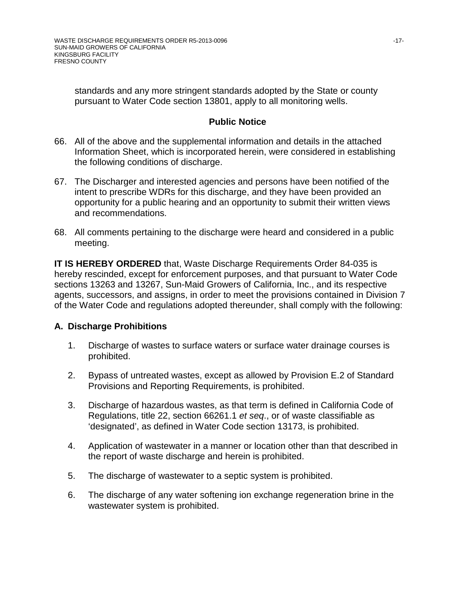standards and any more stringent standards adopted by the State or county pursuant to Water Code section 13801, apply to all monitoring wells.

#### **Public Notice**

- 66. All of the above and the supplemental information and details in the attached Information Sheet, which is incorporated herein, were considered in establishing the following conditions of discharge.
- 67. The Discharger and interested agencies and persons have been notified of the intent to prescribe WDRs for this discharge, and they have been provided an opportunity for a public hearing and an opportunity to submit their written views and recommendations.
- 68. All comments pertaining to the discharge were heard and considered in a public meeting.

**IT IS HEREBY ORDERED** that, Waste Discharge Requirements Order 84-035 is hereby rescinded, except for enforcement purposes, and that pursuant to Water Code sections 13263 and 13267, Sun-Maid Growers of California, Inc., and its respective agents, successors, and assigns, in order to meet the provisions contained in Division 7 of the Water Code and regulations adopted thereunder, shall comply with the following:

## **A. Discharge Prohibitions**

- 1. Discharge of wastes to surface waters or surface water drainage courses is prohibited.
- 2. Bypass of untreated wastes, except as allowed by Provision E.2 of Standard Provisions and Reporting Requirements, is prohibited.
- 3. Discharge of hazardous wastes, as that term is defined in California Code of Regulations, title 22, section 66261.1 *et seq*., or of waste classifiable as 'designated', as defined in Water Code section 13173, is prohibited.
- 4. Application of wastewater in a manner or location other than that described in the report of waste discharge and herein is prohibited.
- 5. The discharge of wastewater to a septic system is prohibited.
- 6. The discharge of any water softening ion exchange regeneration brine in the wastewater system is prohibited.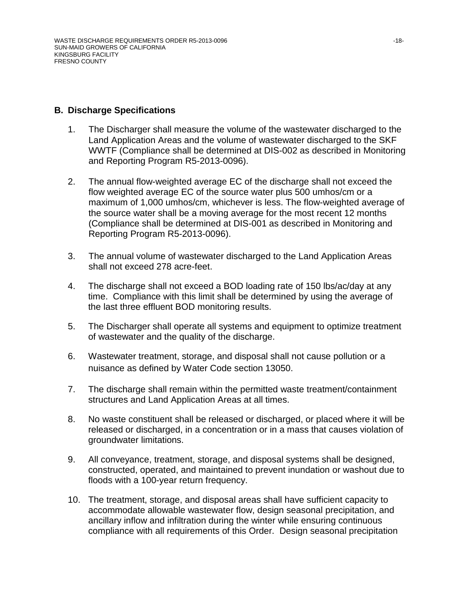#### **B. Discharge Specifications**

- 1. The Discharger shall measure the volume of the wastewater discharged to the Land Application Areas and the volume of wastewater discharged to the SKF WWTF (Compliance shall be determined at DIS-002 as described in Monitoring and Reporting Program R5-2013-0096).
- 2. The annual flow-weighted average EC of the discharge shall not exceed the flow weighted average EC of the source water plus 500 umhos/cm or a maximum of 1,000 umhos/cm, whichever is less. The flow-weighted average of the source water shall be a moving average for the most recent 12 months (Compliance shall be determined at DIS-001 as described in Monitoring and Reporting Program R5-2013-0096).
- 3. The annual volume of wastewater discharged to the Land Application Areas shall not exceed 278 acre-feet.
- 4. The discharge shall not exceed a BOD loading rate of 150 lbs/ac/day at any time. Compliance with this limit shall be determined by using the average of the last three effluent BOD monitoring results.
- 5. The Discharger shall operate all systems and equipment to optimize treatment of wastewater and the quality of the discharge.
- 6. Wastewater treatment, storage, and disposal shall not cause pollution or a nuisance as defined by Water Code section 13050.
- 7. The discharge shall remain within the permitted waste treatment/containment structures and Land Application Areas at all times.
- 8. No waste constituent shall be released or discharged, or placed where it will be released or discharged, in a concentration or in a mass that causes violation of groundwater limitations.
- 9. All conveyance, treatment, storage, and disposal systems shall be designed, constructed, operated, and maintained to prevent inundation or washout due to floods with a 100-year return frequency.
- 10. The treatment, storage, and disposal areas shall have sufficient capacity to accommodate allowable wastewater flow, design seasonal precipitation, and ancillary inflow and infiltration during the winter while ensuring continuous compliance with all requirements of this Order. Design seasonal precipitation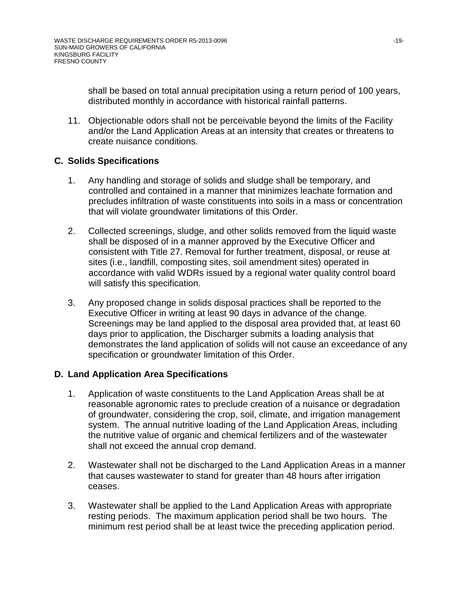shall be based on total annual precipitation using a return period of 100 years, distributed monthly in accordance with historical rainfall patterns.

11. Objectionable odors shall not be perceivable beyond the limits of the Facility and/or the Land Application Areas at an intensity that creates or threatens to create nuisance conditions.

# **C. Solids Specifications**

- 1. Any handling and storage of solids and sludge shall be temporary, and controlled and contained in a manner that minimizes leachate formation and precludes infiltration of waste constituents into soils in a mass or concentration that will violate groundwater limitations of this Order.
- 2. Collected screenings, sludge, and other solids removed from the liquid waste shall be disposed of in a manner approved by the Executive Officer and consistent with Title 27. Removal for further treatment, disposal, or reuse at sites (i.e., landfill, composting sites, soil amendment sites) operated in accordance with valid WDRs issued by a regional water quality control board will satisfy this specification.
- 3. Any proposed change in solids disposal practices shall be reported to the Executive Officer in writing at least 90 days in advance of the change. Screenings may be land applied to the disposal area provided that, at least 60 days prior to application, the Discharger submits a loading analysis that demonstrates the land application of solids will not cause an exceedance of any specification or groundwater limitation of this Order.

## **D. Land Application Area Specifications**

- 1. Application of waste constituents to the Land Application Areas shall be at reasonable agronomic rates to preclude creation of a nuisance or degradation of groundwater, considering the crop, soil, climate, and irrigation management system. The annual nutritive loading of the Land Application Areas, including the nutritive value of organic and chemical fertilizers and of the wastewater shall not exceed the annual crop demand.
- 2. Wastewater shall not be discharged to the Land Application Areas in a manner that causes wastewater to stand for greater than 48 hours after irrigation ceases.
- 3. Wastewater shall be applied to the Land Application Areas with appropriate resting periods. The maximum application period shall be two hours. The minimum rest period shall be at least twice the preceding application period.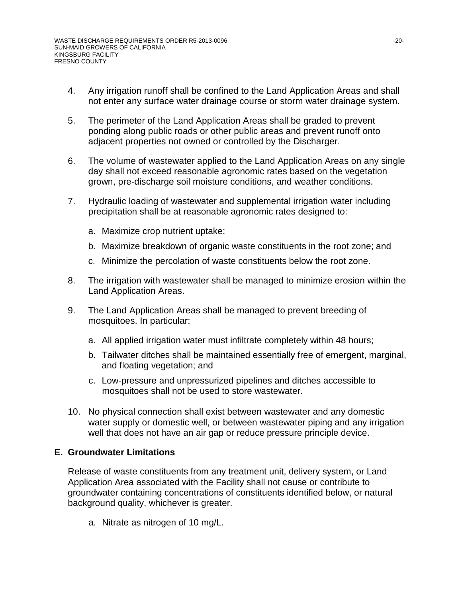- 4. Any irrigation runoff shall be confined to the Land Application Areas and shall not enter any surface water drainage course or storm water drainage system.
- 5. The perimeter of the Land Application Areas shall be graded to prevent ponding along public roads or other public areas and prevent runoff onto adjacent properties not owned or controlled by the Discharger.
- 6. The volume of wastewater applied to the Land Application Areas on any single day shall not exceed reasonable agronomic rates based on the vegetation grown, pre-discharge soil moisture conditions, and weather conditions.
- 7. Hydraulic loading of wastewater and supplemental irrigation water including precipitation shall be at reasonable agronomic rates designed to:
	- a. Maximize crop nutrient uptake;
	- b. Maximize breakdown of organic waste constituents in the root zone; and
	- c. Minimize the percolation of waste constituents below the root zone.
- 8. The irrigation with wastewater shall be managed to minimize erosion within the Land Application Areas.
- 9. The Land Application Areas shall be managed to prevent breeding of mosquitoes. In particular:
	- a. All applied irrigation water must infiltrate completely within 48 hours;
	- b. Tailwater ditches shall be maintained essentially free of emergent, marginal, and floating vegetation; and
	- c. Low-pressure and unpressurized pipelines and ditches accessible to mosquitoes shall not be used to store wastewater.
- 10. No physical connection shall exist between wastewater and any domestic water supply or domestic well, or between wastewater piping and any irrigation well that does not have an air gap or reduce pressure principle device.

## **E. Groundwater Limitations**

Release of waste constituents from any treatment unit, delivery system, or Land Application Area associated with the Facility shall not cause or contribute to groundwater containing concentrations of constituents identified below, or natural background quality, whichever is greater.

a. Nitrate as nitrogen of 10 mg/L.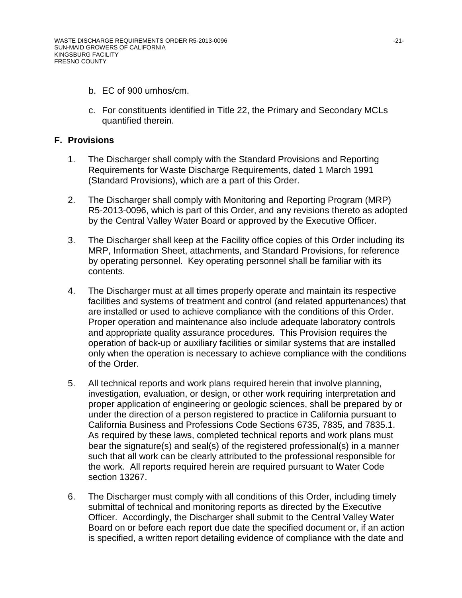- b. EC of 900 umhos/cm.
- c. For constituents identified in Title 22, the Primary and Secondary MCLs quantified therein.

#### **F. Provisions**

- 1. The Discharger shall comply with the Standard Provisions and Reporting Requirements for Waste Discharge Requirements, dated 1 March 1991 (Standard Provisions), which are a part of this Order.
- 2. The Discharger shall comply with Monitoring and Reporting Program (MRP) R5-2013-0096, which is part of this Order, and any revisions thereto as adopted by the Central Valley Water Board or approved by the Executive Officer.
- 3. The Discharger shall keep at the Facility office copies of this Order including its MRP, Information Sheet, attachments, and Standard Provisions, for reference by operating personnel. Key operating personnel shall be familiar with its contents.
- 4. The Discharger must at all times properly operate and maintain its respective facilities and systems of treatment and control (and related appurtenances) that are installed or used to achieve compliance with the conditions of this Order. Proper operation and maintenance also include adequate laboratory controls and appropriate quality assurance procedures. This Provision requires the operation of back-up or auxiliary facilities or similar systems that are installed only when the operation is necessary to achieve compliance with the conditions of the Order.
- 5. All technical reports and work plans required herein that involve planning, investigation, evaluation, or design, or other work requiring interpretation and proper application of engineering or geologic sciences, shall be prepared by or under the direction of a person registered to practice in California pursuant to California Business and Professions Code Sections 6735, 7835, and 7835.1. As required by these laws, completed technical reports and work plans must bear the signature(s) and seal(s) of the registered professional(s) in a manner such that all work can be clearly attributed to the professional responsible for the work. All reports required herein are required pursuant to Water Code section 13267.
- 6. The Discharger must comply with all conditions of this Order, including timely submittal of technical and monitoring reports as directed by the Executive Officer. Accordingly, the Discharger shall submit to the Central Valley Water Board on or before each report due date the specified document or, if an action is specified, a written report detailing evidence of compliance with the date and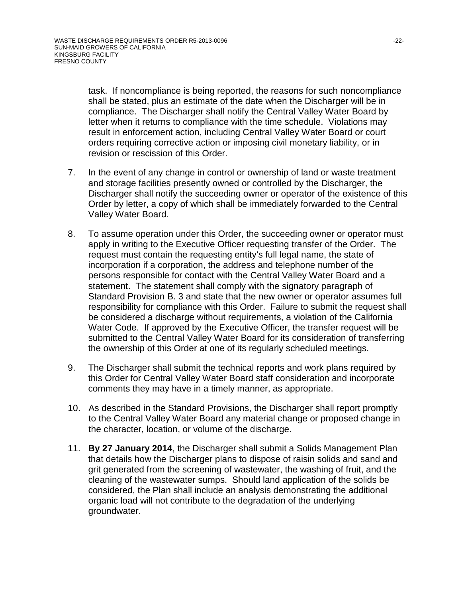task. If noncompliance is being reported, the reasons for such noncompliance shall be stated, plus an estimate of the date when the Discharger will be in compliance. The Discharger shall notify the Central Valley Water Board by letter when it returns to compliance with the time schedule. Violations may result in enforcement action, including Central Valley Water Board or court orders requiring corrective action or imposing civil monetary liability, or in revision or rescission of this Order.

- 7. In the event of any change in control or ownership of land or waste treatment and storage facilities presently owned or controlled by the Discharger, the Discharger shall notify the succeeding owner or operator of the existence of this Order by letter, a copy of which shall be immediately forwarded to the Central Valley Water Board.
- 8. To assume operation under this Order, the succeeding owner or operator must apply in writing to the Executive Officer requesting transfer of the Order. The request must contain the requesting entity's full legal name, the state of incorporation if a corporation, the address and telephone number of the persons responsible for contact with the Central Valley Water Board and a statement. The statement shall comply with the signatory paragraph of Standard Provision B. 3 and state that the new owner or operator assumes full responsibility for compliance with this Order. Failure to submit the request shall be considered a discharge without requirements, a violation of the California Water Code. If approved by the Executive Officer, the transfer request will be submitted to the Central Valley Water Board for its consideration of transferring the ownership of this Order at one of its regularly scheduled meetings.
- 9. The Discharger shall submit the technical reports and work plans required by this Order for Central Valley Water Board staff consideration and incorporate comments they may have in a timely manner, as appropriate.
- 10. As described in the Standard Provisions, the Discharger shall report promptly to the Central Valley Water Board any material change or proposed change in the character, location, or volume of the discharge.
- 11. **By 27 January 2014**, the Discharger shall submit a Solids Management Plan that details how the Discharger plans to dispose of raisin solids and sand and grit generated from the screening of wastewater, the washing of fruit, and the cleaning of the wastewater sumps. Should land application of the solids be considered, the Plan shall include an analysis demonstrating the additional organic load will not contribute to the degradation of the underlying groundwater.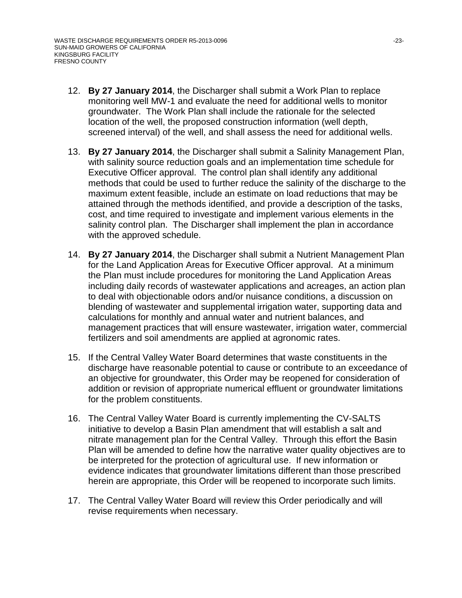- 12. **By 27 January 2014**, the Discharger shall submit a Work Plan to replace monitoring well MW-1 and evaluate the need for additional wells to monitor groundwater. The Work Plan shall include the rationale for the selected location of the well, the proposed construction information (well depth, screened interval) of the well, and shall assess the need for additional wells.
- 13. **By 27 January 2014**, the Discharger shall submit a Salinity Management Plan, with salinity source reduction goals and an implementation time schedule for Executive Officer approval. The control plan shall identify any additional methods that could be used to further reduce the salinity of the discharge to the maximum extent feasible, include an estimate on load reductions that may be attained through the methods identified, and provide a description of the tasks, cost, and time required to investigate and implement various elements in the salinity control plan. The Discharger shall implement the plan in accordance with the approved schedule.
- 14. **By 27 January 2014**, the Discharger shall submit a Nutrient Management Plan for the Land Application Areas for Executive Officer approval. At a minimum the Plan must include procedures for monitoring the Land Application Areas including daily records of wastewater applications and acreages, an action plan to deal with objectionable odors and/or nuisance conditions, a discussion on blending of wastewater and supplemental irrigation water, supporting data and calculations for monthly and annual water and nutrient balances, and management practices that will ensure wastewater, irrigation water, commercial fertilizers and soil amendments are applied at agronomic rates.
- 15. If the Central Valley Water Board determines that waste constituents in the discharge have reasonable potential to cause or contribute to an exceedance of an objective for groundwater, this Order may be reopened for consideration of addition or revision of appropriate numerical effluent or groundwater limitations for the problem constituents.
- 16. The Central Valley Water Board is currently implementing the CV-SALTS initiative to develop a Basin Plan amendment that will establish a salt and nitrate management plan for the Central Valley. Through this effort the Basin Plan will be amended to define how the narrative water quality objectives are to be interpreted for the protection of agricultural use. If new information or evidence indicates that groundwater limitations different than those prescribed herein are appropriate, this Order will be reopened to incorporate such limits.
- 17. The Central Valley Water Board will review this Order periodically and will revise requirements when necessary.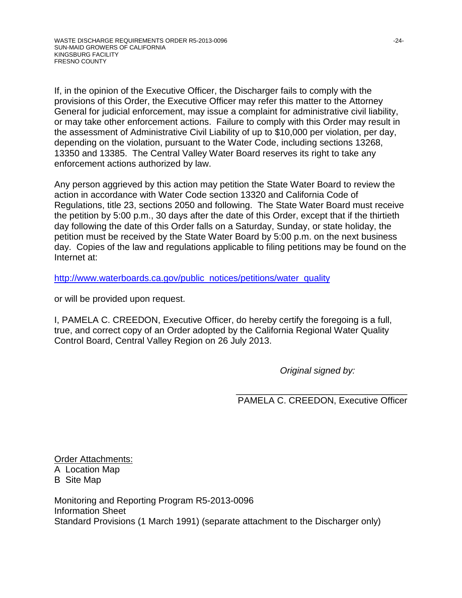If, in the opinion of the Executive Officer, the Discharger fails to comply with the provisions of this Order, the Executive Officer may refer this matter to the Attorney General for judicial enforcement, may issue a complaint for administrative civil liability, or may take other enforcement actions. Failure to comply with this Order may result in the assessment of Administrative Civil Liability of up to \$10,000 per violation, per day, depending on the violation, pursuant to the Water Code, including sections 13268, 13350 and 13385. The Central Valley Water Board reserves its right to take any enforcement actions authorized by law.

Any person aggrieved by this action may petition the State Water Board to review the action in accordance with Water Code section 13320 and California Code of Regulations, title 23, sections 2050 and following. The State Water Board must receive the petition by 5:00 p.m., 30 days after the date of this Order, except that if the thirtieth day following the date of this Order falls on a Saturday, Sunday, or state holiday, the petition must be received by the State Water Board by 5:00 p.m. on the next business day. Copies of the law and regulations applicable to filing petitions may be found on the Internet at:

[http://www.waterboards.ca.gov/public\\_notices/petitions/water\\_quality](http://www.waterboards.ca.gov/public_notices/petitions/water_quality)

or will be provided upon request.

I, PAMELA C. CREEDON, Executive Officer, do hereby certify the foregoing is a full, true, and correct copy of an Order adopted by the California Regional Water Quality Control Board, Central Valley Region on 26 July 2013.

*Original signed by:*

\_\_\_\_\_\_\_\_\_\_\_\_\_\_\_\_\_\_\_\_\_\_\_\_\_\_\_\_\_\_\_\_\_\_ PAMELA C. CREEDON, Executive Officer

Order Attachments: A Location Map B Site Map

Monitoring and Reporting Program R5-2013-0096 Information Sheet Standard Provisions (1 March 1991) (separate attachment to the Discharger only)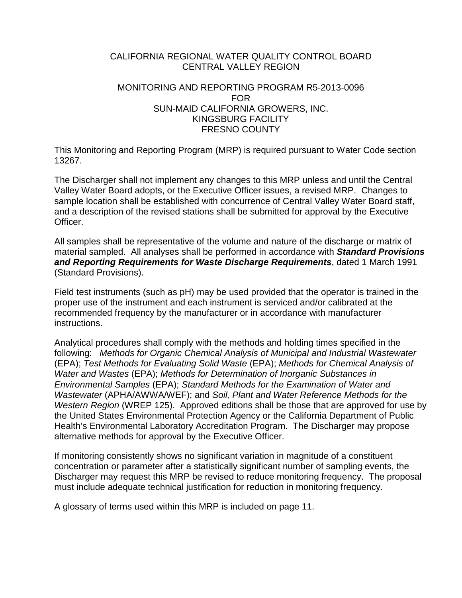# CALIFORNIA REGIONAL WATER QUALITY CONTROL BOARD CENTRAL VALLEY REGION

#### MONITORING AND REPORTING PROGRAM R5-2013-0096 FOR SUN-MAID CALIFORNIA GROWERS, INC. KINGSBURG FACILITY FRESNO COUNTY

This Monitoring and Reporting Program (MRP) is required pursuant to Water Code section 13267.

The Discharger shall not implement any changes to this MRP unless and until the Central Valley Water Board adopts, or the Executive Officer issues, a revised MRP. Changes to sample location shall be established with concurrence of Central Valley Water Board staff, and a description of the revised stations shall be submitted for approval by the Executive Officer.

All samples shall be representative of the volume and nature of the discharge or matrix of material sampled. All analyses shall be performed in accordance with *Standard Provisions and Reporting Requirements for Waste Discharge Requirements*, dated 1 March 1991 (Standard Provisions).

Field test instruments (such as pH) may be used provided that the operator is trained in the proper use of the instrument and each instrument is serviced and/or calibrated at the recommended frequency by the manufacturer or in accordance with manufacturer instructions.

Analytical procedures shall comply with the methods and holding times specified in the following: *Methods for Organic Chemical Analysis of Municipal and Industrial Wastewater* (EPA); *Test Methods for Evaluating Solid Waste* (EPA); *Methods for Chemical Analysis of Water and Wastes* (EPA); *Methods for Determination of Inorganic Substances in Environmental Samples* (EPA); *Standard Methods for the Examination of Water and Wastewater* (APHA/AWWA/WEF); and *Soil, Plant and Water Reference Methods for the Western Region* (WREP 125). Approved editions shall be those that are approved for use by the United States Environmental Protection Agency or the California Department of Public Health's Environmental Laboratory Accreditation Program. The Discharger may propose alternative methods for approval by the Executive Officer.

If monitoring consistently shows no significant variation in magnitude of a constituent concentration or parameter after a statistically significant number of sampling events, the Discharger may request this MRP be revised to reduce monitoring frequency. The proposal must include adequate technical justification for reduction in monitoring frequency.

A glossary of terms used within this MRP is included on page 11.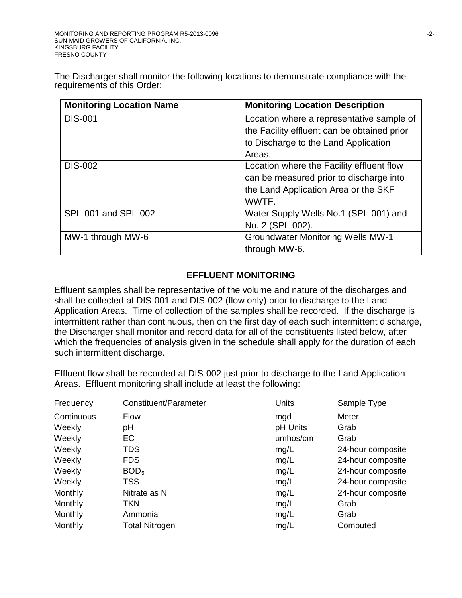The Discharger shall monitor the following locations to demonstrate compliance with the requirements of this Order:

| <b>Monitoring Location Name</b> | <b>Monitoring Location Description</b>      |
|---------------------------------|---------------------------------------------|
| <b>DIS-001</b>                  | Location where a representative sample of   |
|                                 | the Facility effluent can be obtained prior |
|                                 | to Discharge to the Land Application        |
|                                 | Areas.                                      |
| <b>DIS-002</b>                  | Location where the Facility effluent flow   |
|                                 | can be measured prior to discharge into     |
|                                 | the Land Application Area or the SKF        |
|                                 | WWTF.                                       |
| SPL-001 and SPL-002             | Water Supply Wells No.1 (SPL-001) and       |
|                                 | No. 2 (SPL-002).                            |
| MW-1 through MW-6               | <b>Groundwater Monitoring Wells MW-1</b>    |
|                                 | through MW-6.                               |

## **EFFLUENT MONITORING**

Effluent samples shall be representative of the volume and nature of the discharges and shall be collected at DIS-001 and DIS-002 (flow only) prior to discharge to the Land Application Areas. Time of collection of the samples shall be recorded. If the discharge is intermittent rather than continuous, then on the first day of each such intermittent discharge, the Discharger shall monitor and record data for all of the constituents listed below, after which the frequencies of analysis given in the schedule shall apply for the duration of each such intermittent discharge.

Effluent flow shall be recorded at DIS-002 just prior to discharge to the Land Application Areas. Effluent monitoring shall include at least the following:

| <b>Frequency</b> | Constituent/Parameter | <b>Units</b> | <b>Sample Type</b> |
|------------------|-----------------------|--------------|--------------------|
| Continuous       | <b>Flow</b>           | mgd          | Meter              |
| Weekly           | pH                    | pH Units     | Grab               |
| Weekly           | EC                    | umhos/cm     | Grab               |
| Weekly           | <b>TDS</b>            | mg/L         | 24-hour composite  |
| Weekly           | <b>FDS</b>            | mg/L         | 24-hour composite  |
| Weekly           | BOD <sub>5</sub>      | mg/L         | 24-hour composite  |
| Weekly           | <b>TSS</b>            | mg/L         | 24-hour composite  |
| Monthly          | Nitrate as N          | mg/L         | 24-hour composite  |
| Monthly          | TKN                   | mg/L         | Grab               |
| Monthly          | Ammonia               | mg/L         | Grab               |
| Monthly          | <b>Total Nitrogen</b> | mg/L         | Computed           |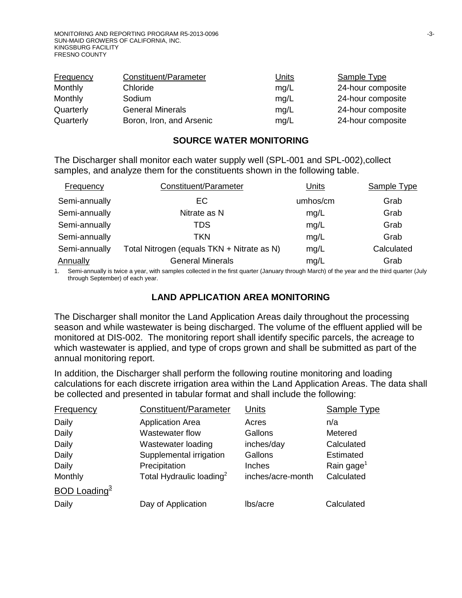| Frequency | Constituent/Parameter    | <u>Units</u> | Sample Type       |
|-----------|--------------------------|--------------|-------------------|
| Monthly   | Chloride                 | mq/L         | 24-hour composite |
| Monthly   | Sodium                   | mg/L         | 24-hour composite |
| Quarterly | <b>General Minerals</b>  | mg/L         | 24-hour composite |
| Quarterly | Boron, Iron, and Arsenic | mq/L         | 24-hour composite |

#### **SOURCE WATER MONITORING**

The Discharger shall monitor each water supply well (SPL-001 and SPL-002),collect samples, and analyze them for the constituents shown in the following table.

| Frequency     | Constituent/Parameter                      | Units    | Sample Type |
|---------------|--------------------------------------------|----------|-------------|
| Semi-annually | EC                                         | umhos/cm | Grab        |
| Semi-annually | Nitrate as N                               | mg/L     | Grab        |
| Semi-annually | TDS                                        | mg/L     | Grab        |
| Semi-annually | <b>TKN</b>                                 | mg/L     | Grab        |
| Semi-annually | Total Nitrogen (equals TKN + Nitrate as N) | mg/L     | Calculated  |
| Annually      | <b>General Minerals</b>                    | mg/L     | Grab        |

1. Semi-annually is twice a year, with samples collected in the first quarter (January through March) of the year and the third quarter (July through September) of each year.

#### **LAND APPLICATION AREA MONITORING**

The Discharger shall monitor the Land Application Areas daily throughout the processing season and while wastewater is being discharged. The volume of the effluent applied will be monitored at DIS-002. The monitoring report shall identify specific parcels, the acreage to which wastewater is applied, and type of crops grown and shall be submitted as part of the annual monitoring report.

In addition, the Discharger shall perform the following routine monitoring and loading calculations for each discrete irrigation area within the Land Application Areas. The data shall be collected and presented in tabular format and shall include the following:

| <b>Frequency</b>         | Constituent/Parameter                | Units             | <b>Sample Type</b>     |
|--------------------------|--------------------------------------|-------------------|------------------------|
| Daily                    | <b>Application Area</b>              | Acres             | n/a                    |
| Daily                    | Wastewater flow                      | Gallons           | Metered                |
| Daily                    | Wastewater loading                   | inches/day        | Calculated             |
| Daily                    | Supplemental irrigation              | Gallons           | Estimated              |
| Daily                    | Precipitation                        | Inches            | Rain gage <sup>1</sup> |
| Monthly                  | Total Hydraulic loading <sup>2</sup> | inches/acre-month | Calculated             |
| BOD Loading <sup>3</sup> |                                      |                   |                        |
| Daily                    | Day of Application                   | lbs/acre          | Calculated             |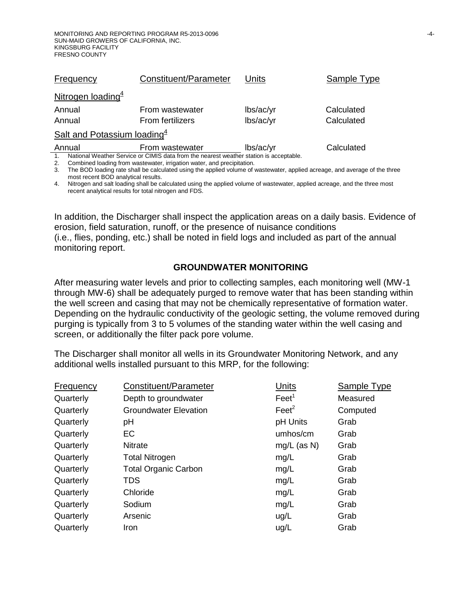| Frequency                                                                                    | Constituent/Parameter   | Units     | Sample Type |  |  |  |
|----------------------------------------------------------------------------------------------|-------------------------|-----------|-------------|--|--|--|
| Nitrogen loading $\frac{4}{3}$                                                               |                         |           |             |  |  |  |
| Annual                                                                                       | From wastewater         | lbs/ac/yr | Calculated  |  |  |  |
| Annual                                                                                       | <b>From fertilizers</b> | lbs/ac/yr | Calculated  |  |  |  |
| Salt and Potassium loading $4$                                                               |                         |           |             |  |  |  |
| Annual                                                                                       | From wastewater         | lbs/ac/yr | Calculated  |  |  |  |
| National Weather Service or CIMIS data from the nearest weather station is acceptable.<br>1. |                         |           |             |  |  |  |

2. Combined loading from wastewater, irrigation water, and precipitation.

3. The BOD loading rate shall be calculated using the applied volume of wastewater, applied acreage, and average of the three most recent BOD analytical results.

4. Nitrogen and salt loading shall be calculated using the applied volume of wastewater, applied acreage, and the three most recent analytical results for total nitrogen and FDS.

In addition, the Discharger shall inspect the application areas on a daily basis. Evidence of erosion, field saturation, runoff, or the presence of nuisance conditions (i.e., flies, ponding, etc.) shall be noted in field logs and included as part of the annual monitoring report.

# **GROUNDWATER MONITORING**

After measuring water levels and prior to collecting samples, each monitoring well (MW-1 through MW-6) shall be adequately purged to remove water that has been standing within the well screen and casing that may not be chemically representative of formation water. Depending on the hydraulic conductivity of the geologic setting, the volume removed during purging is typically from 3 to 5 volumes of the standing water within the well casing and screen, or additionally the filter pack pore volume.

The Discharger shall monitor all wells in its Groundwater Monitoring Network, and any additional wells installed pursuant to this MRP, for the following:

| Frequency | Constituent/Parameter        | Units             | Sample Type |
|-----------|------------------------------|-------------------|-------------|
| Quarterly | Depth to groundwater         | Feet <sup>1</sup> | Measured    |
| Quarterly | <b>Groundwater Elevation</b> | $\text{Feet}^2$   | Computed    |
| Quarterly | pH                           | pH Units          | Grab        |
| Quarterly | EC                           | umhos/cm          | Grab        |
| Quarterly | <b>Nitrate</b>               | $mg/L$ (as N)     | Grab        |
| Quarterly | <b>Total Nitrogen</b>        | mg/L              | Grab        |
| Quarterly | <b>Total Organic Carbon</b>  | mg/L              | Grab        |
| Quarterly | <b>TDS</b>                   | mg/L              | Grab        |
| Quarterly | Chloride                     | mg/L              | Grab        |
| Quarterly | Sodium                       | mg/L              | Grab        |
| Quarterly | Arsenic                      | ug/L              | Grab        |
| Quarterly | Iron                         | ug/L              | Grab        |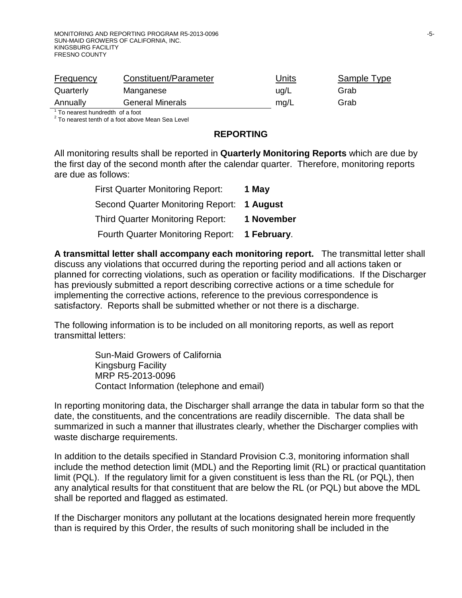| <b>Frequency</b> | Constituent/Parameter   | Units | Sample Type |
|------------------|-------------------------|-------|-------------|
| Quarterly        | Manganese               | ug/L  | Grab        |
| Annually         | <b>General Minerals</b> | mg/L  | Grab        |

 $1$  To nearest hundredth of a foot<br> $2$  To nearest tenth of a foot above Mean Sea Level

#### **REPORTING**

All monitoring results shall be reported in **Quarterly Monitoring Reports** which are due by the first day of the second month after the calendar quarter. Therefore, monitoring reports are due as follows:

| <b>First Quarter Monitoring Report:</b>  | 1 May       |
|------------------------------------------|-------------|
| <b>Second Quarter Monitoring Report:</b> | 1 August    |
| <b>Third Quarter Monitoring Report:</b>  | 1 November  |
| <b>Fourth Quarter Monitoring Report:</b> | 1 February. |

**A transmittal letter shall accompany each monitoring report.** The transmittal letter shall discuss any violations that occurred during the reporting period and all actions taken or planned for correcting violations, such as operation or facility modifications. If the Discharger has previously submitted a report describing corrective actions or a time schedule for implementing the corrective actions, reference to the previous correspondence is satisfactory. Reports shall be submitted whether or not there is a discharge.

The following information is to be included on all monitoring reports, as well as report transmittal letters:

> Sun-Maid Growers of California Kingsburg Facility MRP R5-2013-0096 Contact Information (telephone and email)

In reporting monitoring data, the Discharger shall arrange the data in tabular form so that the date, the constituents, and the concentrations are readily discernible. The data shall be summarized in such a manner that illustrates clearly, whether the Discharger complies with waste discharge requirements.

In addition to the details specified in Standard Provision C.3, monitoring information shall include the method detection limit (MDL) and the Reporting limit (RL) or practical quantitation limit (PQL). If the regulatory limit for a given constituent is less than the RL (or PQL), then any analytical results for that constituent that are below the RL (or PQL) but above the MDL shall be reported and flagged as estimated.

If the Discharger monitors any pollutant at the locations designated herein more frequently than is required by this Order, the results of such monitoring shall be included in the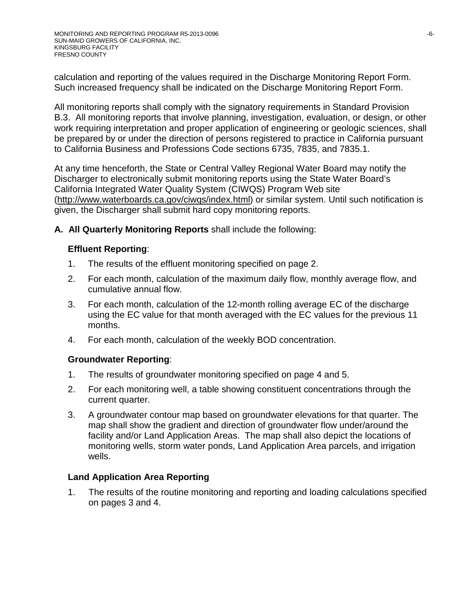calculation and reporting of the values required in the Discharge Monitoring Report Form. Such increased frequency shall be indicated on the Discharge Monitoring Report Form.

All monitoring reports shall comply with the signatory requirements in Standard Provision B.3. All monitoring reports that involve planning, investigation, evaluation, or design, or other work requiring interpretation and proper application of engineering or geologic sciences, shall be prepared by or under the direction of persons registered to practice in California pursuant to California Business and Professions Code sections 6735, 7835, and 7835.1.

At any time henceforth, the State or Central Valley Regional Water Board may notify the Discharger to electronically submit monitoring reports using the State Water Board's California Integrated Water Quality System (CIWQS) Program Web site (http://www.waterboards.ca.gov/ciwqs/index.html) or similar system. Until such notification is given, the Discharger shall submit hard copy monitoring reports.

## **A. All Quarterly Monitoring Reports** shall include the following:

#### **Effluent Reporting**:

- 1. The results of the effluent monitoring specified on page 2.
- 2. For each month, calculation of the maximum daily flow, monthly average flow, and cumulative annual flow.
- 3. For each month, calculation of the 12-month rolling average EC of the discharge using the EC value for that month averaged with the EC values for the previous 11 months.
- 4. For each month, calculation of the weekly BOD concentration.

## **Groundwater Reporting**:

- 1. The results of groundwater monitoring specified on page 4 and 5.
- 2. For each monitoring well, a table showing constituent concentrations through the current quarter.
- 3. A groundwater contour map based on groundwater elevations for that quarter. The map shall show the gradient and direction of groundwater flow under/around the facility and/or Land Application Areas. The map shall also depict the locations of monitoring wells, storm water ponds, Land Application Area parcels, and irrigation wells.

## **Land Application Area Reporting**

1. The results of the routine monitoring and reporting and loading calculations specified on pages 3 and 4.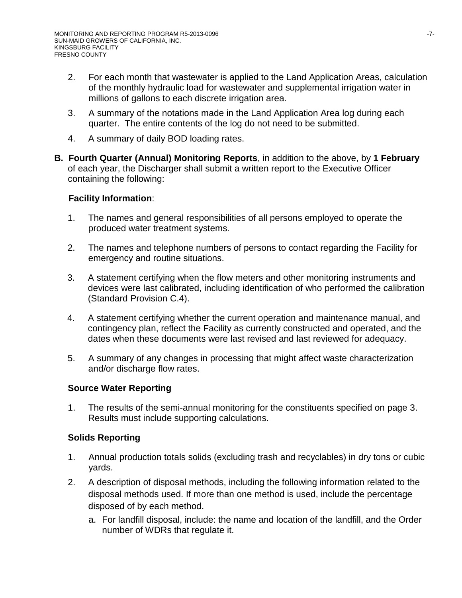- 2. For each month that wastewater is applied to the Land Application Areas, calculation of the monthly hydraulic load for wastewater and supplemental irrigation water in millions of gallons to each discrete irrigation area.
- 3. A summary of the notations made in the Land Application Area log during each quarter. The entire contents of the log do not need to be submitted.
- 4. A summary of daily BOD loading rates.
- **B. Fourth Quarter (Annual) Monitoring Reports**, in addition to the above, by **1 February**  of each year, the Discharger shall submit a written report to the Executive Officer containing the following:

# **Facility Information**:

- 1. The names and general responsibilities of all persons employed to operate the produced water treatment systems.
- 2. The names and telephone numbers of persons to contact regarding the Facility for emergency and routine situations.
- 3. A statement certifying when the flow meters and other monitoring instruments and devices were last calibrated, including identification of who performed the calibration (Standard Provision C.4).
- 4. A statement certifying whether the current operation and maintenance manual, and contingency plan, reflect the Facility as currently constructed and operated, and the dates when these documents were last revised and last reviewed for adequacy.
- 5. A summary of any changes in processing that might affect waste characterization and/or discharge flow rates.

# **Source Water Reporting**

1. The results of the semi-annual monitoring for the constituents specified on page 3. Results must include supporting calculations.

# **Solids Reporting**

- 1. Annual production totals solids (excluding trash and recyclables) in dry tons or cubic yards.
- 2. A description of disposal methods, including the following information related to the disposal methods used. If more than one method is used, include the percentage disposed of by each method.
	- a. For landfill disposal, include: the name and location of the landfill, and the Order number of WDRs that regulate it.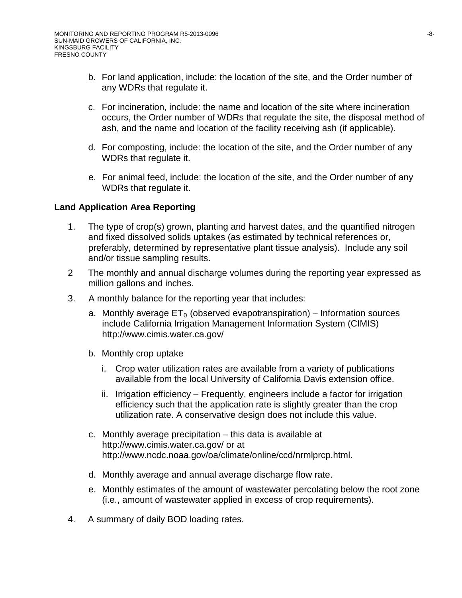- b. For land application, include: the location of the site, and the Order number of any WDRs that regulate it.
- c. For incineration, include: the name and location of the site where incineration occurs, the Order number of WDRs that regulate the site, the disposal method of ash, and the name and location of the facility receiving ash (if applicable).
- d. For composting, include: the location of the site, and the Order number of any WDRs that regulate it.
- e. For animal feed, include: the location of the site, and the Order number of any WDRs that regulate it.

## **Land Application Area Reporting**

- 1. The type of crop(s) grown, planting and harvest dates, and the quantified nitrogen and fixed dissolved solids uptakes (as estimated by technical references or, preferably, determined by representative plant tissue analysis). Include any soil and/or tissue sampling results.
- 2 The monthly and annual discharge volumes during the reporting year expressed as million gallons and inches.
- 3. A monthly balance for the reporting year that includes:
	- a. Monthly average  $ET_0$  (observed evapotranspiration) Information sources include California Irrigation Management Information System (CIMIS) http://www.cimis.water.ca.gov/
	- b. Monthly crop uptake
		- i. Crop water utilization rates are available from a variety of publications available from the local University of California Davis extension office.
		- ii. Irrigation efficiency Frequently, engineers include a factor for irrigation efficiency such that the application rate is slightly greater than the crop utilization rate. A conservative design does not include this value.
	- c. Monthly average precipitation this data is available at http://www.cimis.water.ca.gov/ or at http://www.ncdc.noaa.gov/oa/climate/online/ccd/nrmlprcp.html.
	- d. Monthly average and annual average discharge flow rate.
	- e. Monthly estimates of the amount of wastewater percolating below the root zone (i.e., amount of wastewater applied in excess of crop requirements).
- 4. A summary of daily BOD loading rates.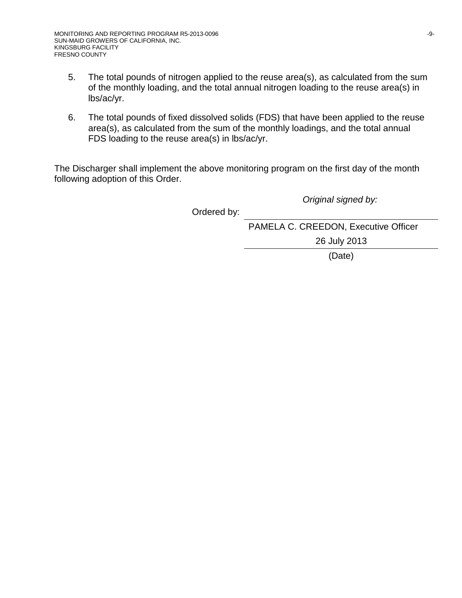- 5. The total pounds of nitrogen applied to the reuse area(s), as calculated from the sum of the monthly loading, and the total annual nitrogen loading to the reuse area(s) in lbs/ac/yr.
- 6. The total pounds of fixed dissolved solids (FDS) that have been applied to the reuse area(s), as calculated from the sum of the monthly loadings, and the total annual FDS loading to the reuse area(s) in lbs/ac/yr.

The Discharger shall implement the above monitoring program on the first day of the month following adoption of this Order.

*Original signed by:*

Ordered by:

PAMELA C. CREEDON, Executive Officer 26 July 2013

(Date)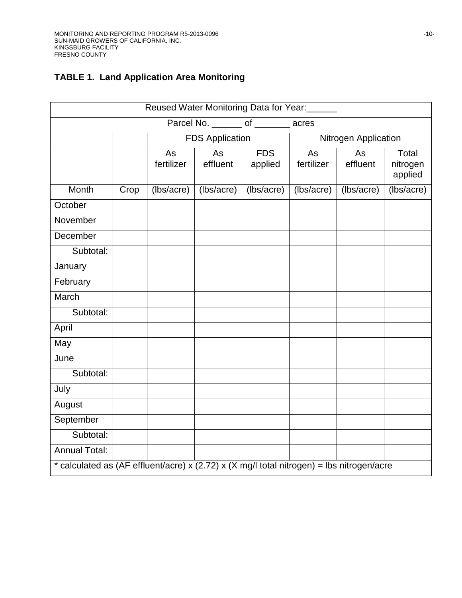# **TABLE 1. Land Application Area Monitoring**

| Reused Water Monitoring Data for Year:                                                    |                                       |                  |                        |                       |                  |                      |                              |  |  |
|-------------------------------------------------------------------------------------------|---------------------------------------|------------------|------------------------|-----------------------|------------------|----------------------|------------------------------|--|--|
|                                                                                           | Parcel No. ________ of ________ acres |                  |                        |                       |                  |                      |                              |  |  |
|                                                                                           |                                       |                  | <b>FDS Application</b> |                       |                  | Nitrogen Application |                              |  |  |
|                                                                                           |                                       | As<br>fertilizer | As<br>effluent         | <b>FDS</b><br>applied | As<br>fertilizer | As<br>effluent       | Total<br>nitrogen<br>applied |  |  |
| Month                                                                                     | Crop                                  | (lbs/acre)       | (lbs/acre)             | (lbs/acre)            | (lbs/acre)       | (lbs/acre)           | (lbs/acre)                   |  |  |
| October                                                                                   |                                       |                  |                        |                       |                  |                      |                              |  |  |
| November                                                                                  |                                       |                  |                        |                       |                  |                      |                              |  |  |
| December                                                                                  |                                       |                  |                        |                       |                  |                      |                              |  |  |
| Subtotal:                                                                                 |                                       |                  |                        |                       |                  |                      |                              |  |  |
| January                                                                                   |                                       |                  |                        |                       |                  |                      |                              |  |  |
| February                                                                                  |                                       |                  |                        |                       |                  |                      |                              |  |  |
| March                                                                                     |                                       |                  |                        |                       |                  |                      |                              |  |  |
| Subtotal:                                                                                 |                                       |                  |                        |                       |                  |                      |                              |  |  |
| April                                                                                     |                                       |                  |                        |                       |                  |                      |                              |  |  |
| May                                                                                       |                                       |                  |                        |                       |                  |                      |                              |  |  |
| June                                                                                      |                                       |                  |                        |                       |                  |                      |                              |  |  |
| Subtotal:                                                                                 |                                       |                  |                        |                       |                  |                      |                              |  |  |
| July                                                                                      |                                       |                  |                        |                       |                  |                      |                              |  |  |
| August                                                                                    |                                       |                  |                        |                       |                  |                      |                              |  |  |
| September                                                                                 |                                       |                  |                        |                       |                  |                      |                              |  |  |
| Subtotal:                                                                                 |                                       |                  |                        |                       |                  |                      |                              |  |  |
| <b>Annual Total:</b>                                                                      |                                       |                  |                        |                       |                  |                      |                              |  |  |
| * calculated as (AF effluent/acre) x (2.72) x (X mg/l total nitrogen) = lbs nitrogen/acre |                                       |                  |                        |                       |                  |                      |                              |  |  |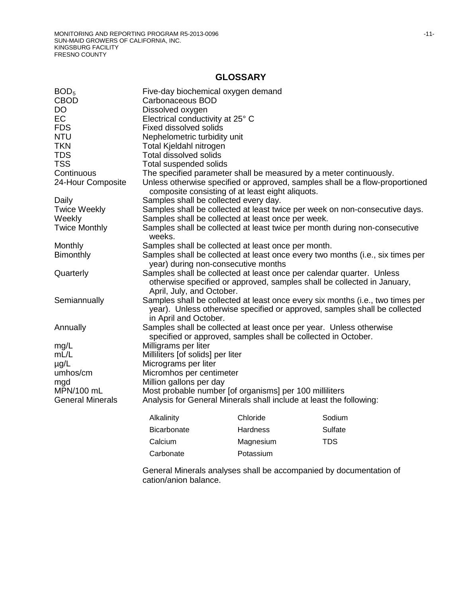#### **GLOSSARY**

| BOD <sub>5</sub>        | Five-day biochemical oxygen demand                      |                                                  |                                                                                                                                                             |
|-------------------------|---------------------------------------------------------|--------------------------------------------------|-------------------------------------------------------------------------------------------------------------------------------------------------------------|
| <b>CBOD</b>             | Carbonaceous BOD                                        |                                                  |                                                                                                                                                             |
| <b>DO</b>               | Dissolved oxygen                                        |                                                  |                                                                                                                                                             |
| EC                      | Electrical conductivity at 25° C                        |                                                  |                                                                                                                                                             |
| <b>FDS</b>              | Fixed dissolved solids                                  |                                                  |                                                                                                                                                             |
| <b>NTU</b>              | Nephelometric turbidity unit                            |                                                  |                                                                                                                                                             |
| <b>TKN</b>              | Total Kjeldahl nitrogen                                 |                                                  |                                                                                                                                                             |
| <b>TDS</b>              | <b>Total dissolved solids</b>                           |                                                  |                                                                                                                                                             |
| <b>TSS</b>              | Total suspended solids                                  |                                                  |                                                                                                                                                             |
| Continuous              |                                                         |                                                  | The specified parameter shall be measured by a meter continuously.                                                                                          |
| 24-Hour Composite       |                                                         | composite consisting of at least eight aliquots. | Unless otherwise specified or approved, samples shall be a flow-proportioned                                                                                |
| Daily                   | Samples shall be collected every day.                   |                                                  |                                                                                                                                                             |
| <b>Twice Weekly</b>     |                                                         |                                                  | Samples shall be collected at least twice per week on non-consecutive days.                                                                                 |
| Weekly                  | Samples shall be collected at least once per week.      |                                                  |                                                                                                                                                             |
| <b>Twice Monthly</b>    | weeks.                                                  |                                                  | Samples shall be collected at least twice per month during non-consecutive                                                                                  |
| Monthly                 | Samples shall be collected at least once per month.     |                                                  |                                                                                                                                                             |
| <b>Bimonthly</b>        | year) during non-consecutive months                     |                                                  | Samples shall be collected at least once every two months (i.e., six times per                                                                              |
| Quarterly               | April, July, and October.                               |                                                  | Samples shall be collected at least once per calendar quarter. Unless<br>otherwise specified or approved, samples shall be collected in January,            |
| Semiannually            | in April and October.                                   |                                                  | Samples shall be collected at least once every six months (i.e., two times per<br>year). Unless otherwise specified or approved, samples shall be collected |
| Annually                |                                                         |                                                  | Samples shall be collected at least once per year. Unless otherwise                                                                                         |
|                         |                                                         |                                                  | specified or approved, samples shall be collected in October.                                                                                               |
| mg/L                    | Milligrams per liter                                    |                                                  |                                                                                                                                                             |
| mL/L                    | Milliliters [of solids] per liter                       |                                                  |                                                                                                                                                             |
| $\mu$ g/L               | Micrograms per liter                                    |                                                  |                                                                                                                                                             |
| umhos/cm                | Micromhos per centimeter                                |                                                  |                                                                                                                                                             |
| mgd                     | Million gallons per day                                 |                                                  |                                                                                                                                                             |
| MPN/100 mL              | Most probable number [of organisms] per 100 milliliters |                                                  |                                                                                                                                                             |
| <b>General Minerals</b> |                                                         |                                                  | Analysis for General Minerals shall include at least the following:                                                                                         |
|                         | Alkalinity                                              | Chloride                                         | Sodium                                                                                                                                                      |
|                         | Bicarbonate                                             | Hardness                                         | Sulfate                                                                                                                                                     |
|                         | Calcium                                                 | Magnesium                                        | <b>TDS</b>                                                                                                                                                  |
|                         | Carbonate                                               | Potassium                                        |                                                                                                                                                             |
|                         |                                                         |                                                  |                                                                                                                                                             |

General Minerals analyses shall be accompanied by documentation of cation/anion balance.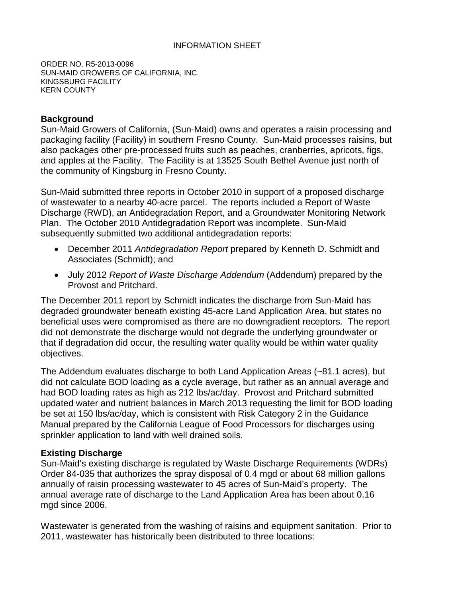#### INFORMATION SHEET

ORDER NO. R5-2013-0096 SUN-MAID GROWERS OF CALIFORNIA, INC. KINGSBURG FACILITY KERN COUNTY

#### **Background**

Sun-Maid Growers of California, (Sun-Maid) owns and operates a raisin processing and packaging facility (Facility) in southern Fresno County. Sun-Maid processes raisins, but also packages other pre-processed fruits such as peaches, cranberries, apricots, figs, and apples at the Facility. The Facility is at 13525 South Bethel Avenue just north of the community of Kingsburg in Fresno County.

Sun-Maid submitted three reports in October 2010 in support of a proposed discharge of wastewater to a nearby 40-acre parcel. The reports included a Report of Waste Discharge (RWD), an Antidegradation Report, and a Groundwater Monitoring Network Plan. The October 2010 Antidegradation Report was incomplete. Sun-Maid subsequently submitted two additional antidegradation reports:

- December 2011 *Antidegradation Report* prepared by Kenneth D. Schmidt and Associates (Schmidt); and
- July 2012 *Report of Waste Discharge Addendum* (Addendum) prepared by the Provost and Pritchard.

The December 2011 report by Schmidt indicates the discharge from Sun-Maid has degraded groundwater beneath existing 45-acre Land Application Area, but states no beneficial uses were compromised as there are no downgradient receptors. The report did not demonstrate the discharge would not degrade the underlying groundwater or that if degradation did occur, the resulting water quality would be within water quality objectives.

The Addendum evaluates discharge to both Land Application Areas (~81.1 acres), but did not calculate BOD loading as a cycle average, but rather as an annual average and had BOD loading rates as high as 212 lbs/ac/day. Provost and Pritchard submitted updated water and nutrient balances in March 2013 requesting the limit for BOD loading be set at 150 lbs/ac/day, which is consistent with Risk Category 2 in the Guidance Manual prepared by the California League of Food Processors for discharges using sprinkler application to land with well drained soils.

#### **Existing Discharge**

Sun-Maid's existing discharge is regulated by Waste Discharge Requirements (WDRs) Order 84-035 that authorizes the spray disposal of 0.4 mgd or about 68 million gallons annually of raisin processing wastewater to 45 acres of Sun-Maid's property. The annual average rate of discharge to the Land Application Area has been about 0.16 mgd since 2006.

Wastewater is generated from the washing of raisins and equipment sanitation. Prior to 2011, wastewater has historically been distributed to three locations: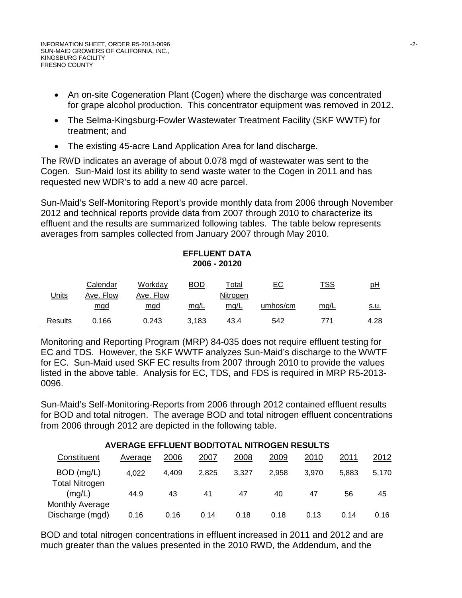- An on-site Cogeneration Plant (Cogen) where the discharge was concentrated for grape alcohol production. This concentrator equipment was removed in 2012.
- The Selma-Kingsburg-Fowler Wastewater Treatment Facility (SKF WWTF) for treatment; and
- The existing 45-acre Land Application Area for land discharge.

The RWD indicates an average of about 0.078 mgd of wastewater was sent to the Cogen. Sun-Maid lost its ability to send waste water to the Cogen in 2011 and has requested new WDR's to add a new 40 acre parcel.

Sun-Maid's Self-Monitoring Report's provide monthly data from 2006 through November 2012 and technical reports provide data from 2007 through 2010 to characterize its effluent and the results are summarized following tables. The table below represents averages from samples collected from January 2007 through May 2010.

# **EFFLUENT DATA 2006 - 20120**

| Jnits          | Calendar<br>Ave. Flow | Workday<br>Ave. Flow | BOD   | Гotal<br>Nitrogen | <u>EC</u> | <u>TSS</u> | рH          |
|----------------|-----------------------|----------------------|-------|-------------------|-----------|------------|-------------|
|                | mgd                   | <u>mgd</u>           | mq/L  | mq/L              | umhos/cm  | mq/L       | <u>s.u.</u> |
| <b>Results</b> | 0.166                 | 0.243                | 3.183 | 43.4              | 542       | 771        | 4.28        |

Monitoring and Reporting Program (MRP) 84-035 does not require effluent testing for EC and TDS. However, the SKF WWTF analyzes Sun-Maid's discharge to the WWTF for EC. Sun-Maid used SKF EC results from 2007 through 2010 to provide the values listed in the above table. Analysis for EC, TDS, and FDS is required in MRP R5-2013- 0096.

Sun-Maid's Self-Monitoring-Reports from 2006 through 2012 contained effluent results for BOD and total nitrogen. The average BOD and total nitrogen effluent concentrations from 2006 through 2012 are depicted in the following table.

|                                    | AVERAGE EFFLUENT BOD/TOTAL NITROGEN RESULTS |       |       |       |       |       |       |       |
|------------------------------------|---------------------------------------------|-------|-------|-------|-------|-------|-------|-------|
| Constituent                        | Average                                     | 2006  | 2007  | 2008  | 2009  | 2010  | 2011  | 2012  |
| BOD (mg/L)                         | 4,022                                       | 4.409 | 2.825 | 3.327 | 2.958 | 3.970 | 5.883 | 5.170 |
| <b>Total Nitrogen</b><br>(mq/L)    | 44.9                                        | 43    | 41    | 47    | 40    | 47    | 56    | 45    |
| Monthly Average<br>Discharge (mgd) | 0.16                                        | 0.16  | 0.14  | 0.18  | 0.18  | 0.13  | 0.14  | 0.16  |

BOD and total nitrogen concentrations in effluent increased in 2011 and 2012 and are much greater than the values presented in the 2010 RWD, the Addendum, and the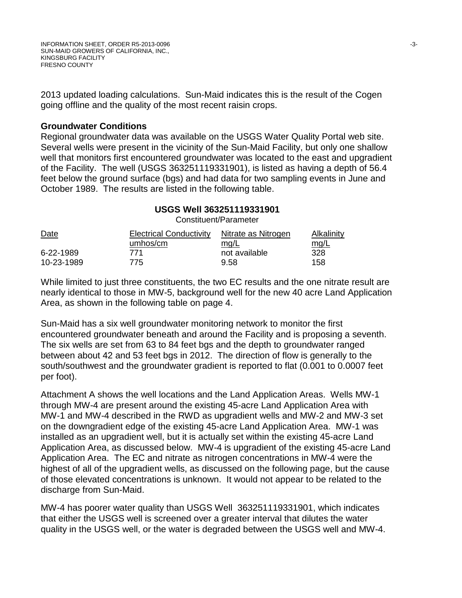2013 updated loading calculations. Sun-Maid indicates this is the result of the Cogen going offline and the quality of the most recent raisin crops.

#### **Groundwater Conditions**

Regional groundwater data was available on the USGS Water Quality Portal web site. Several wells were present in the vicinity of the Sun-Maid Facility, but only one shallow well that monitors first encountered groundwater was located to the east and upgradient of the Facility. The well (USGS 363251119331901), is listed as having a depth of 56.4 feet below the ground surface (bgs) and had data for two sampling events in June and October 1989. The results are listed in the following table.

## **USGS Well 363251119331901**

Constituent/Parameter

| <b>Date</b> | <b>Electrical Conductivity</b> | Nitrate as Nitrogen | Alkalinity |
|-------------|--------------------------------|---------------------|------------|
|             | umhos/cm                       | mq/L                | mg/L       |
| 6-22-1989   | 771                            | not available       | 328        |
| 10-23-1989  | 775                            | 9.58                | 158        |

While limited to just three constituents, the two EC results and the one nitrate result are nearly identical to those in MW-5, background well for the new 40 acre Land Application Area, as shown in the following table on page 4.

Sun-Maid has a six well groundwater monitoring network to monitor the first encountered groundwater beneath and around the Facility and is proposing a seventh. The six wells are set from 63 to 84 feet bgs and the depth to groundwater ranged between about 42 and 53 feet bgs in 2012. The direction of flow is generally to the south/southwest and the groundwater gradient is reported to flat (0.001 to 0.0007 feet per foot).

Attachment A shows the well locations and the Land Application Areas. Wells MW-1 through MW-4 are present around the existing 45-acre Land Application Area with MW-1 and MW-4 described in the RWD as upgradient wells and MW-2 and MW-3 set on the downgradient edge of the existing 45-acre Land Application Area. MW-1 was installed as an upgradient well, but it is actually set within the existing 45-acre Land Application Area, as discussed below. MW-4 is upgradient of the existing 45-acre Land Application Area. The EC and nitrate as nitrogen concentrations in MW-4 were the highest of all of the upgradient wells, as discussed on the following page, but the cause of those elevated concentrations is unknown. It would not appear to be related to the discharge from Sun-Maid.

MW-4 has poorer water quality than USGS Well 363251119331901, which indicates that either the USGS well is screened over a greater interval that dilutes the water quality in the USGS well, or the water is degraded between the USGS well and MW-4.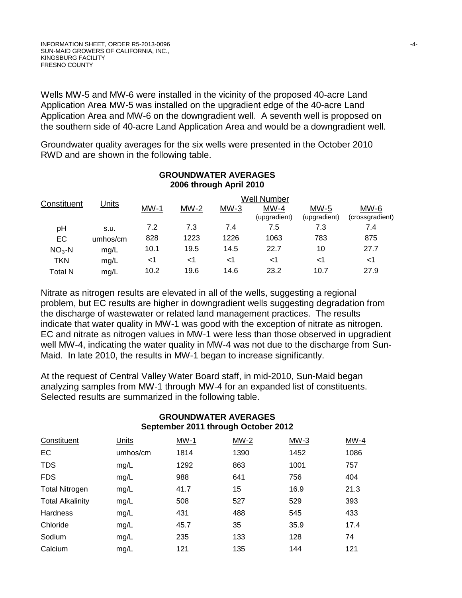Wells MW-5 and MW-6 were installed in the vicinity of the proposed 40-acre Land Application Area MW-5 was installed on the upgradient edge of the 40-acre Land Application Area and MW-6 on the downgradient well. A seventh well is proposed on the southern side of 40-acre Land Application Area and would be a downgradient well.

Groundwater quality averages for the six wells were presented in the October 2010 RWD and are shown in the following table.

|                | <u>Units</u> | <b>Well Number</b> |        |        |                        |                        |                           |  |
|----------------|--------------|--------------------|--------|--------|------------------------|------------------------|---------------------------|--|
| Constituent    |              | $MW-1$             | $MW-2$ | $MW-3$ | $MW-4$<br>(upgradient) | $MW-5$<br>(upgradient) | $MW-6$<br>(crossgradient) |  |
| рH             | s.u.         | 7.2                | 7.3    | 7.4    | 7.5                    | 7.3                    | 7.4                       |  |
| EC             | umhos/cm     | 828                | 1223   | 1226   | 1063                   | 783                    | 875                       |  |
| $NO3 - N$      | mg/L         | 10.1               | 19.5   | 14.5   | 22.7                   | 10                     | 27.7                      |  |
| TKN            | mg/L         | ا>                 | ا>     | ا>     | ا>                     | ا>                     | ا>                        |  |
| <b>Total N</b> | mg/L         | 10.2               | 19.6   | 14.6   | 23.2                   | 10.7                   | 27.9                      |  |

#### **GROUNDWATER AVERAGES 2006 through April 2010**

Nitrate as nitrogen results are elevated in all of the wells, suggesting a regional problem, but EC results are higher in downgradient wells suggesting degradation from the discharge of wastewater or related land management practices. The results indicate that water quality in MW-1 was good with the exception of nitrate as nitrogen. EC and nitrate as nitrogen values in MW-1 were less than those observed in upgradient well MW-4, indicating the water quality in MW-4 was not due to the discharge from Sun-Maid. In late 2010, the results in MW-1 began to increase significantly.

At the request of Central Valley Water Board staff, in mid-2010, Sun-Maid began analyzing samples from MW-1 through MW-4 for an expanded list of constituents. Selected results are summarized in the following table.

## **GROUNDWATER AVERAGES September 2011 through October 2012**

| Constituent             | Units    | $MW-1$ | $MW-2$ | $MW-3$ | $MW-4$ |
|-------------------------|----------|--------|--------|--------|--------|
| EC                      | umhos/cm | 1814   | 1390   | 1452   | 1086   |
| <b>TDS</b>              | mg/L     | 1292   | 863    | 1001   | 757    |
| <b>FDS</b>              | mg/L     | 988    | 641    | 756    | 404    |
| <b>Total Nitrogen</b>   | mg/L     | 41.7   | 15     | 16.9   | 21.3   |
| <b>Total Alkalinity</b> | mg/L     | 508    | 527    | 529    | 393    |
| <b>Hardness</b>         | mg/L     | 431    | 488    | 545    | 433    |
| Chloride                | mg/L     | 45.7   | 35     | 35.9   | 17.4   |
| Sodium                  | mg/L     | 235    | 133    | 128    | 74     |
| Calcium                 | mg/L     | 121    | 135    | 144    | 121    |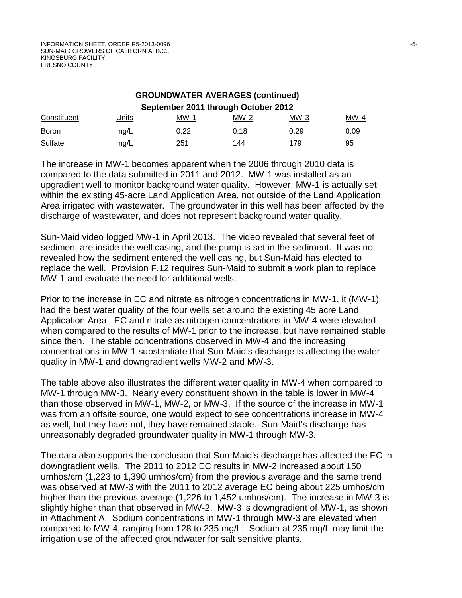| <b>GROUNDWATER AVERAGES (continued)</b> |       |      |        |        |        |  |  |  |
|-----------------------------------------|-------|------|--------|--------|--------|--|--|--|
| September 2011 through October 2012     |       |      |        |        |        |  |  |  |
| Constituent                             | Units | MW-1 | $MW-2$ | $MW-3$ | $MW-4$ |  |  |  |
| <b>Boron</b>                            | mg/L  | 0.22 | 0.18   | 0.29   | 0.09   |  |  |  |
| Sulfate                                 | mg/L  | 251  | 144    | 179    | 95     |  |  |  |

The increase in MW-1 becomes apparent when the 2006 through 2010 data is compared to the data submitted in 2011 and 2012. MW-1 was installed as an upgradient well to monitor background water quality. However, MW-1 is actually set within the existing 45-acre Land Application Area, not outside of the Land Application Area irrigated with wastewater. The groundwater in this well has been affected by the discharge of wastewater, and does not represent background water quality.

Sun-Maid video logged MW-1 in April 2013. The video revealed that several feet of sediment are inside the well casing, and the pump is set in the sediment. It was not revealed how the sediment entered the well casing, but Sun-Maid has elected to replace the well. Provision F.12 requires Sun-Maid to submit a work plan to replace MW-1 and evaluate the need for additional wells.

Prior to the increase in EC and nitrate as nitrogen concentrations in MW-1, it (MW-1) had the best water quality of the four wells set around the existing 45 acre Land Application Area. EC and nitrate as nitrogen concentrations in MW-4 were elevated when compared to the results of MW-1 prior to the increase, but have remained stable since then. The stable concentrations observed in MW-4 and the increasing concentrations in MW-1 substantiate that Sun-Maid's discharge is affecting the water quality in MW-1 and downgradient wells MW-2 and MW-3.

The table above also illustrates the different water quality in MW-4 when compared to MW-1 through MW-3. Nearly every constituent shown in the table is lower in MW-4 than those observed in MW-1, MW-2, or MW-3. If the source of the increase in MW-1 was from an offsite source, one would expect to see concentrations increase in MW-4 as well, but they have not, they have remained stable. Sun-Maid's discharge has unreasonably degraded groundwater quality in MW-1 through MW-3.

The data also supports the conclusion that Sun-Maid's discharge has affected the EC in downgradient wells. The 2011 to 2012 EC results in MW-2 increased about 150 umhos/cm (1,223 to 1,390 umhos/cm) from the previous average and the same trend was observed at MW-3 with the 2011 to 2012 average EC being about 225 umhos/cm higher than the previous average (1,226 to 1,452 umhos/cm). The increase in MW-3 is slightly higher than that observed in MW-2. MW-3 is downgradient of MW-1, as shown in Attachment A. Sodium concentrations in MW-1 through MW-3 are elevated when compared to MW-4, ranging from 128 to 235 mg/L. Sodium at 235 mg/L may limit the irrigation use of the affected groundwater for salt sensitive plants.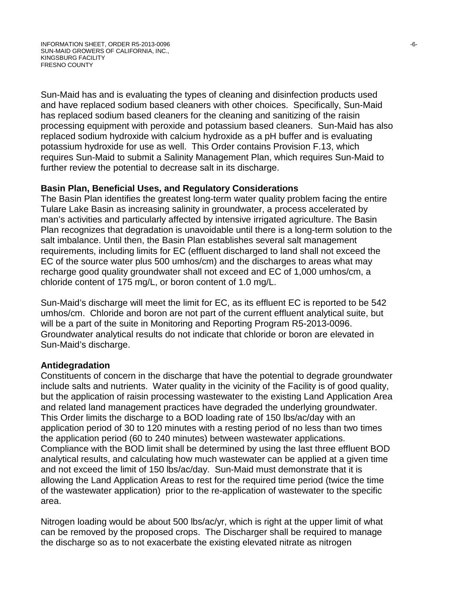Sun-Maid has and is evaluating the types of cleaning and disinfection products used and have replaced sodium based cleaners with other choices. Specifically, Sun-Maid has replaced sodium based cleaners for the cleaning and sanitizing of the raisin processing equipment with peroxide and potassium based cleaners. Sun-Maid has also replaced sodium hydroxide with calcium hydroxide as a pH buffer and is evaluating potassium hydroxide for use as well. This Order contains Provision F.13, which requires Sun-Maid to submit a Salinity Management Plan, which requires Sun-Maid to further review the potential to decrease salt in its discharge.

## **Basin Plan, Beneficial Uses, and Regulatory Considerations**

The Basin Plan identifies the greatest long-term water quality problem facing the entire Tulare Lake Basin as increasing salinity in groundwater, a process accelerated by man's activities and particularly affected by intensive irrigated agriculture. The Basin Plan recognizes that degradation is unavoidable until there is a long-term solution to the salt imbalance. Until then, the Basin Plan establishes several salt management requirements, including limits for EC (effluent discharged to land shall not exceed the EC of the source water plus 500 umhos/cm) and the discharges to areas what may recharge good quality groundwater shall not exceed and EC of 1,000 umhos/cm, a chloride content of 175 mg/L, or boron content of 1.0 mg/L.

Sun-Maid's discharge will meet the limit for EC, as its effluent EC is reported to be 542 umhos/cm. Chloride and boron are not part of the current effluent analytical suite, but will be a part of the suite in Monitoring and Reporting Program R5-2013-0096. Groundwater analytical results do not indicate that chloride or boron are elevated in Sun-Maid's discharge.

#### **Antidegradation**

Constituents of concern in the discharge that have the potential to degrade groundwater include salts and nutrients. Water quality in the vicinity of the Facility is of good quality, but the application of raisin processing wastewater to the existing Land Application Area and related land management practices have degraded the underlying groundwater. This Order limits the discharge to a BOD loading rate of 150 lbs/ac/day with an application period of 30 to 120 minutes with a resting period of no less than two times the application period (60 to 240 minutes) between wastewater applications. Compliance with the BOD limit shall be determined by using the last three effluent BOD analytical results, and calculating how much wastewater can be applied at a given time and not exceed the limit of 150 lbs/ac/day. Sun-Maid must demonstrate that it is allowing the Land Application Areas to rest for the required time period (twice the time of the wastewater application) prior to the re-application of wastewater to the specific area.

Nitrogen loading would be about 500 lbs/ac/yr, which is right at the upper limit of what can be removed by the proposed crops. The Discharger shall be required to manage the discharge so as to not exacerbate the existing elevated nitrate as nitrogen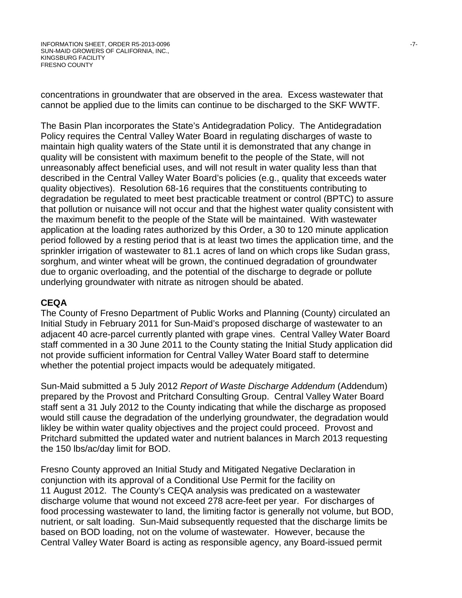concentrations in groundwater that are observed in the area. Excess wastewater that cannot be applied due to the limits can continue to be discharged to the SKF WWTF.

The Basin Plan incorporates the State's Antidegradation Policy. The Antidegradation Policy requires the Central Valley Water Board in regulating discharges of waste to maintain high quality waters of the State until it is demonstrated that any change in quality will be consistent with maximum benefit to the people of the State, will not unreasonably affect beneficial uses, and will not result in water quality less than that described in the Central Valley Water Board's policies (e.g., quality that exceeds water quality objectives). Resolution 68-16 requires that the constituents contributing to degradation be regulated to meet best practicable treatment or control (BPTC) to assure that pollution or nuisance will not occur and that the highest water quality consistent with the maximum benefit to the people of the State will be maintained. With wastewater application at the loading rates authorized by this Order, a 30 to 120 minute application period followed by a resting period that is at least two times the application time, and the sprinkler irrigation of wastewater to 81.1 acres of land on which crops like Sudan grass, sorghum, and winter wheat will be grown, the continued degradation of groundwater due to organic overloading, and the potential of the discharge to degrade or pollute underlying groundwater with nitrate as nitrogen should be abated.

#### **CEQA**

The County of Fresno Department of Public Works and Planning (County) circulated an Initial Study in February 2011 for Sun-Maid's proposed discharge of wastewater to an adjacent 40 acre-parcel currently planted with grape vines. Central Valley Water Board staff commented in a 30 June 2011 to the County stating the Initial Study application did not provide sufficient information for Central Valley Water Board staff to determine whether the potential project impacts would be adequately mitigated.

Sun-Maid submitted a 5 July 2012 *Report of Waste Discharge Addendum* (Addendum) prepared by the Provost and Pritchard Consulting Group. Central Valley Water Board staff sent a 31 July 2012 to the County indicating that while the discharge as proposed would still cause the degradation of the underlying groundwater, the degradation would likley be within water quality objectives and the project could proceed. Provost and Pritchard submitted the updated water and nutrient balances in March 2013 requesting the 150 lbs/ac/day limit for BOD.

Fresno County approved an Initial Study and Mitigated Negative Declaration in conjunction with its approval of a Conditional Use Permit for the facility on 11 August 2012. The County's CEQA analysis was predicated on a wastewater discharge volume that wound not exceed 278 acre-feet per year. For discharges of food processing wastewater to land, the limiting factor is generally not volume, but BOD, nutrient, or salt loading. Sun-Maid subsequently requested that the discharge limits be based on BOD loading, not on the volume of wastewater. However, because the Central Valley Water Board is acting as responsible agency, any Board-issued permit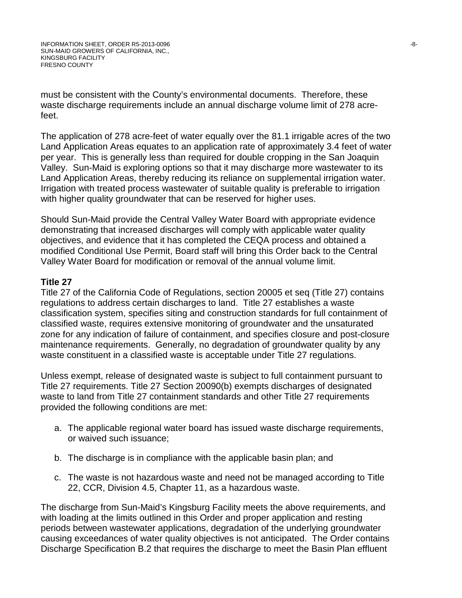must be consistent with the County's environmental documents. Therefore, these waste discharge requirements include an annual discharge volume limit of 278 acrefeet.

The application of 278 acre-feet of water equally over the 81.1 irrigable acres of the two Land Application Areas equates to an application rate of approximately 3.4 feet of water per year. This is generally less than required for double cropping in the San Joaquin Valley. Sun-Maid is exploring options so that it may discharge more wastewater to its Land Application Areas, thereby reducing its reliance on supplemental irrigation water. Irrigation with treated process wastewater of suitable quality is preferable to irrigation with higher quality groundwater that can be reserved for higher uses.

Should Sun-Maid provide the Central Valley Water Board with appropriate evidence demonstrating that increased discharges will comply with applicable water quality objectives, and evidence that it has completed the CEQA process and obtained a modified Conditional Use Permit, Board staff will bring this Order back to the Central Valley Water Board for modification or removal of the annual volume limit.

#### **Title 27**

Title 27 of the California Code of Regulations, section 20005 et seq (Title 27) contains regulations to address certain discharges to land. Title 27 establishes a waste classification system, specifies siting and construction standards for full containment of classified waste, requires extensive monitoring of groundwater and the unsaturated zone for any indication of failure of containment, and specifies closure and post-closure maintenance requirements. Generally, no degradation of groundwater quality by any waste constituent in a classified waste is acceptable under Title 27 regulations.

Unless exempt, release of designated waste is subject to full containment pursuant to Title 27 requirements. Title 27 Section 20090(b) exempts discharges of designated waste to land from Title 27 containment standards and other Title 27 requirements provided the following conditions are met:

- a. The applicable regional water board has issued waste discharge requirements, or waived such issuance;
- b. The discharge is in compliance with the applicable basin plan; and
- c. The waste is not hazardous waste and need not be managed according to Title 22, CCR, Division 4.5, Chapter 11, as a hazardous waste.

The discharge from Sun-Maid's Kingsburg Facility meets the above requirements, and with loading at the limits outlined in this Order and proper application and resting periods between wastewater applications, degradation of the underlying groundwater causing exceedances of water quality objectives is not anticipated. The Order contains Discharge Specification B.2 that requires the discharge to meet the Basin Plan effluent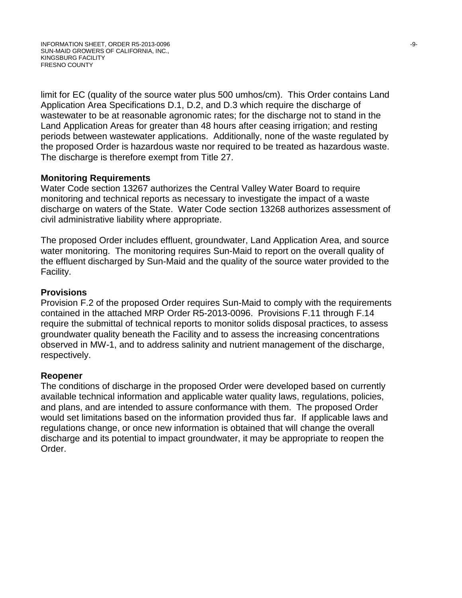limit for EC (quality of the source water plus 500 umhos/cm). This Order contains Land Application Area Specifications D.1, D.2, and D.3 which require the discharge of wastewater to be at reasonable agronomic rates; for the discharge not to stand in the Land Application Areas for greater than 48 hours after ceasing irrigation; and resting periods between wastewater applications. Additionally, none of the waste regulated by the proposed Order is hazardous waste nor required to be treated as hazardous waste. The discharge is therefore exempt from Title 27.

#### **Monitoring Requirements**

Water Code section 13267 authorizes the Central Valley Water Board to require monitoring and technical reports as necessary to investigate the impact of a waste discharge on waters of the State. Water Code section 13268 authorizes assessment of civil administrative liability where appropriate.

The proposed Order includes effluent, groundwater, Land Application Area, and source water monitoring. The monitoring requires Sun-Maid to report on the overall quality of the effluent discharged by Sun-Maid and the quality of the source water provided to the Facility.

## **Provisions**

Provision F.2 of the proposed Order requires Sun-Maid to comply with the requirements contained in the attached MRP Order R5-2013-0096. Provisions F.11 through F.14 require the submittal of technical reports to monitor solids disposal practices, to assess groundwater quality beneath the Facility and to assess the increasing concentrations observed in MW-1, and to address salinity and nutrient management of the discharge, respectively.

#### **Reopener**

The conditions of discharge in the proposed Order were developed based on currently available technical information and applicable water quality laws, regulations, policies, and plans, and are intended to assure conformance with them. The proposed Order would set limitations based on the information provided thus far. If applicable laws and regulations change, or once new information is obtained that will change the overall discharge and its potential to impact groundwater, it may be appropriate to reopen the Order.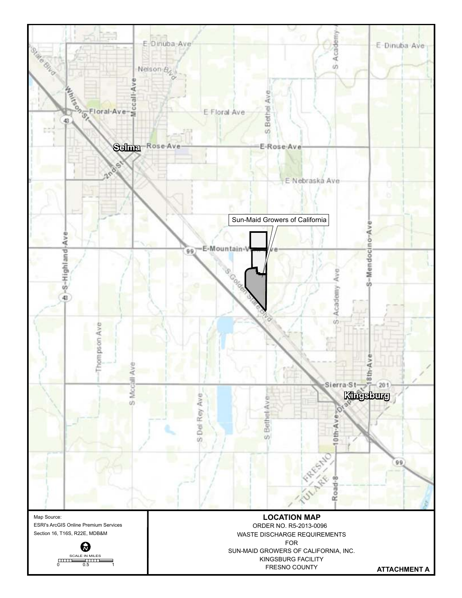